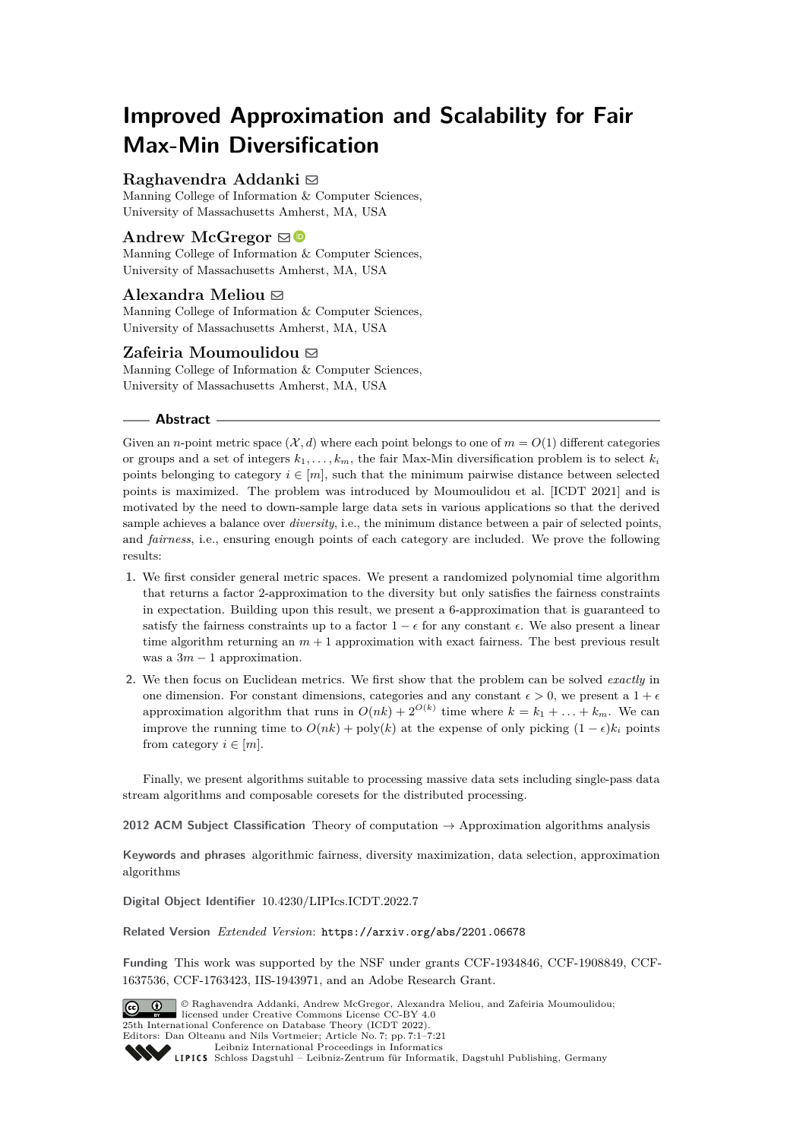# **Improved Approximation and Scalability for Fair Max-Min Diversification**

# **Raghavendra Addanki** [!](mailto:raddanki@cs.umass.edu)

Manning College of Information & Computer Sciences, University of Massachusetts Amherst, MA, USA

# **Andrew McGregor** ⊠

Manning College of Information & Computer Sciences, University of Massachusetts Amherst, MA, USA

# **Alexandra Meliou** [!](mailto:ameli@cs.umass.edu)

Manning College of Information & Computer Sciences, University of Massachusetts Amherst, MA, USA

# **Zafeiria Moumoulidou** [!](mailto:zmoumoulidou@cs.umass.edu)

Manning College of Information & Computer Sciences, University of Massachusetts Amherst, MA, USA

#### **Abstract**

Given an *n*-point metric space  $(\mathcal{X}, d)$  where each point belongs to one of  $m = O(1)$  different categories or groups and a set of integers  $k_1, \ldots, k_m$ , the fair Max-Min diversification problem is to select  $k_i$ points belonging to category  $i \in [m]$ , such that the minimum pairwise distance between selected points is maximized. The problem was introduced by Moumoulidou et al. [ICDT 2021] and is motivated by the need to down-sample large data sets in various applications so that the derived sample achieves a balance over *diversity*, i.e., the minimum distance between a pair of selected points, and *fairness*, i.e., ensuring enough points of each category are included. We prove the following results:

- **1.** We first consider general metric spaces. We present a randomized polynomial time algorithm that returns a factor 2-approximation to the diversity but only satisfies the fairness constraints in expectation. Building upon this result, we present a 6-approximation that is guaranteed to satisfy the fairness constraints up to a factor  $1 - \epsilon$  for any constant  $\epsilon$ . We also present a linear time algorithm returning an  $m + 1$  approximation with exact fairness. The best previous result was a  $3m - 1$  approximation.
- **2.** We then focus on Euclidean metrics. We first show that the problem can be solved *exactly* in one dimension. For constant dimensions, categories and any constant  $\epsilon > 0$ , we present a  $1 + \epsilon$ approximation algorithm that runs in  $O(nk) + 2^{O(k)}$  time where  $k = k_1 + \ldots + k_m$ . We can improve the running time to  $O(nk) + \text{poly}(k)$  at the expense of only picking  $(1 - \epsilon)k_i$  points from category  $i \in [m]$ .

Finally, we present algorithms suitable to processing massive data sets including single-pass data stream algorithms and composable coresets for the distributed processing.

**2012 ACM Subject Classification** Theory of computation → Approximation algorithms analysis

**Keywords and phrases** algorithmic fairness, diversity maximization, data selection, approximation algorithms

**Digital Object Identifier** [10.4230/LIPIcs.ICDT.2022.7](https://doi.org/10.4230/LIPIcs.ICDT.2022.7)

**Related Version** *Extended Version*: <https://arxiv.org/abs/2201.06678>

**Funding** This work was supported by the NSF under grants CCF-1934846, CCF-1908849, CCF-1637536, CCF-1763423, IIS-1943971, and an Adobe Research Grant.



© Raghavendra Addanki, Andrew McGregor, Alexandra Meliou, and Zafeiria Moumoulidou; licensed under Creative Commons License CC-BY 4.0 25th International Conference on Database Theory (ICDT 2022). Editors: Dan Olteanu and Nils Vortmeier; Article No. 7; pp. 7:1–7:21

[Leibniz International Proceedings in Informatics](https://www.dagstuhl.de/lipics/)

Leibniz International Froceedings in Informatik, Dagstuhl Publishing, Germany<br>LIPICS [Schloss Dagstuhl – Leibniz-Zentrum für Informatik, Dagstuhl Publishing, Germany](https://www.dagstuhl.de)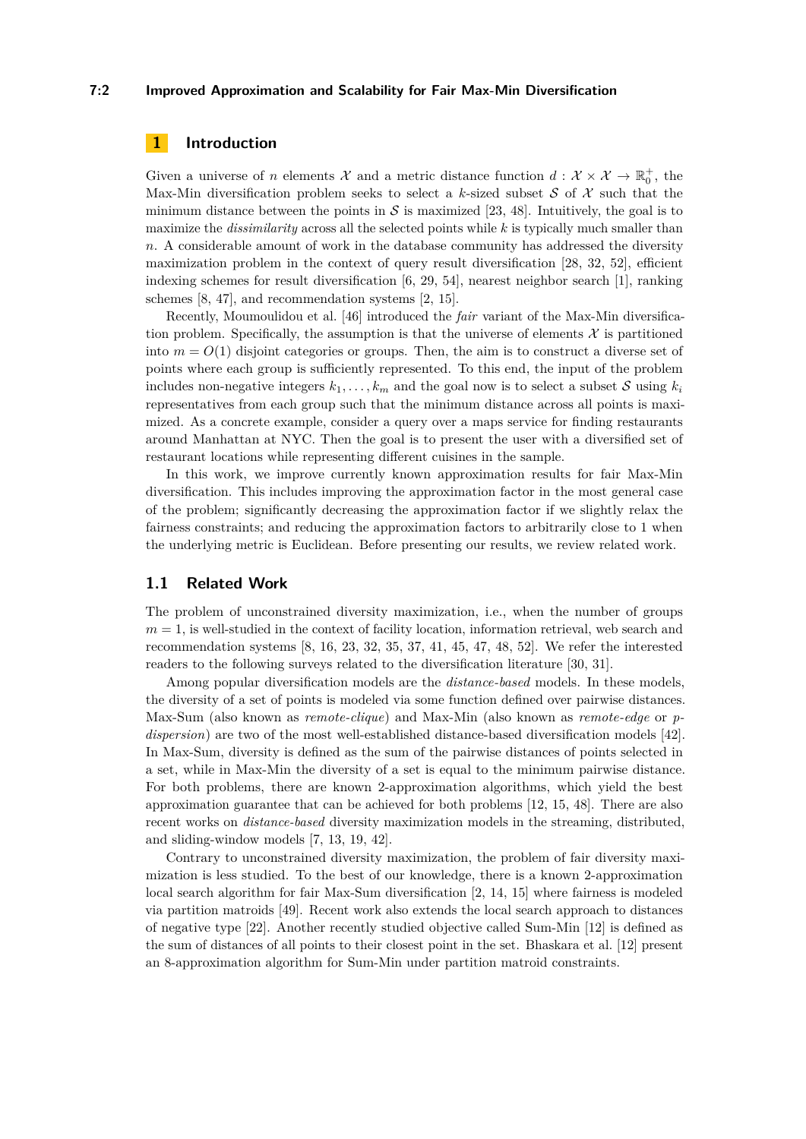## **7:2 Improved Approximation and Scalability for Fair Max-Min Diversification**

## **1 Introduction**

Given a universe of *n* elements X and a metric distance function  $d: X \times X \to \mathbb{R}_0^+$ , the Max-Min diversification problem seeks to select a  $k$ -sized subset  $S$  of  $X$  such that the minimum distance between the points in  $\mathcal S$  is maximized [\[23,](#page-19-0) [48\]](#page-20-0). Intuitively, the goal is to maximize the *dissimilarity* across all the selected points while *k* is typically much smaller than *n*. A considerable amount of work in the database community has addressed the diversity maximization problem in the context of query result diversification [\[28,](#page-19-1) [32,](#page-19-2) [52\]](#page-20-1), efficient indexing schemes for result diversification [\[6,](#page-18-0) [29,](#page-19-3) [54\]](#page-20-2), nearest neighbor search [\[1\]](#page-18-1), ranking schemes [\[8,](#page-18-2) [47\]](#page-20-3), and recommendation systems [\[2,](#page-18-3) [15\]](#page-18-4).

Recently, Moumoulidou et al. [\[46\]](#page-20-4) introduced the *fair* variant of the Max-Min diversification problem. Specifically, the assumption is that the universe of elements  $\mathcal X$  is partitioned into  $m = O(1)$  disjoint categories or groups. Then, the aim is to construct a diverse set of points where each group is sufficiently represented. To this end, the input of the problem includes non-negative integers  $k_1, \ldots, k_m$  and the goal now is to select a subset S using  $k_i$ representatives from each group such that the minimum distance across all points is maximized. As a concrete example, consider a query over a maps service for finding restaurants around Manhattan at NYC. Then the goal is to present the user with a diversified set of restaurant locations while representing different cuisines in the sample.

In this work, we improve currently known approximation results for fair Max-Min diversification. This includes improving the approximation factor in the most general case of the problem; significantly decreasing the approximation factor if we slightly relax the fairness constraints; and reducing the approximation factors to arbitrarily close to 1 when the underlying metric is Euclidean. Before presenting our results, we review related work.

## **1.1 Related Work**

The problem of unconstrained diversity maximization, i.e., when the number of groups  $m = 1$ , is well-studied in the context of facility location, information retrieval, web search and recommendation systems [\[8,](#page-18-2) [16,](#page-18-5) [23,](#page-19-0) [32,](#page-19-2) [35,](#page-19-4) [37,](#page-19-5) [41,](#page-19-6) [45,](#page-20-5) [47,](#page-20-3) [48,](#page-20-0) [52\]](#page-20-1). We refer the interested readers to the following surveys related to the diversification literature [\[30,](#page-19-7) [31\]](#page-19-8).

Among popular diversification models are the *distance-based* models. In these models, the diversity of a set of points is modeled via some function defined over pairwise distances. Max-Sum (also known as *remote-clique*) and Max-Min (also known as *remote-edge* or *pdispersion*) are two of the most well-established distance-based diversification models [\[42\]](#page-19-9). In Max-Sum, diversity is defined as the sum of the pairwise distances of points selected in a set, while in Max-Min the diversity of a set is equal to the minimum pairwise distance. For both problems, there are known 2-approximation algorithms, which yield the best approximation guarantee that can be achieved for both problems [\[12,](#page-18-6) [15,](#page-18-4) [48\]](#page-20-0). There are also recent works on *distance-based* diversity maximization models in the streaming, distributed, and sliding-window models [\[7,](#page-18-7) [13,](#page-18-8) [19,](#page-18-9) [42\]](#page-19-9).

Contrary to unconstrained diversity maximization, the problem of fair diversity maximization is less studied. To the best of our knowledge, there is a known 2-approximation local search algorithm for fair Max-Sum diversification [\[2,](#page-18-3) [14,](#page-18-10) [15\]](#page-18-4) where fairness is modeled via partition matroids [\[49\]](#page-20-6). Recent work also extends the local search approach to distances of negative type [\[22\]](#page-19-10). Another recently studied objective called Sum-Min [\[12\]](#page-18-6) is defined as the sum of distances of all points to their closest point in the set. Bhaskara et al. [\[12\]](#page-18-6) present an 8-approximation algorithm for Sum-Min under partition matroid constraints.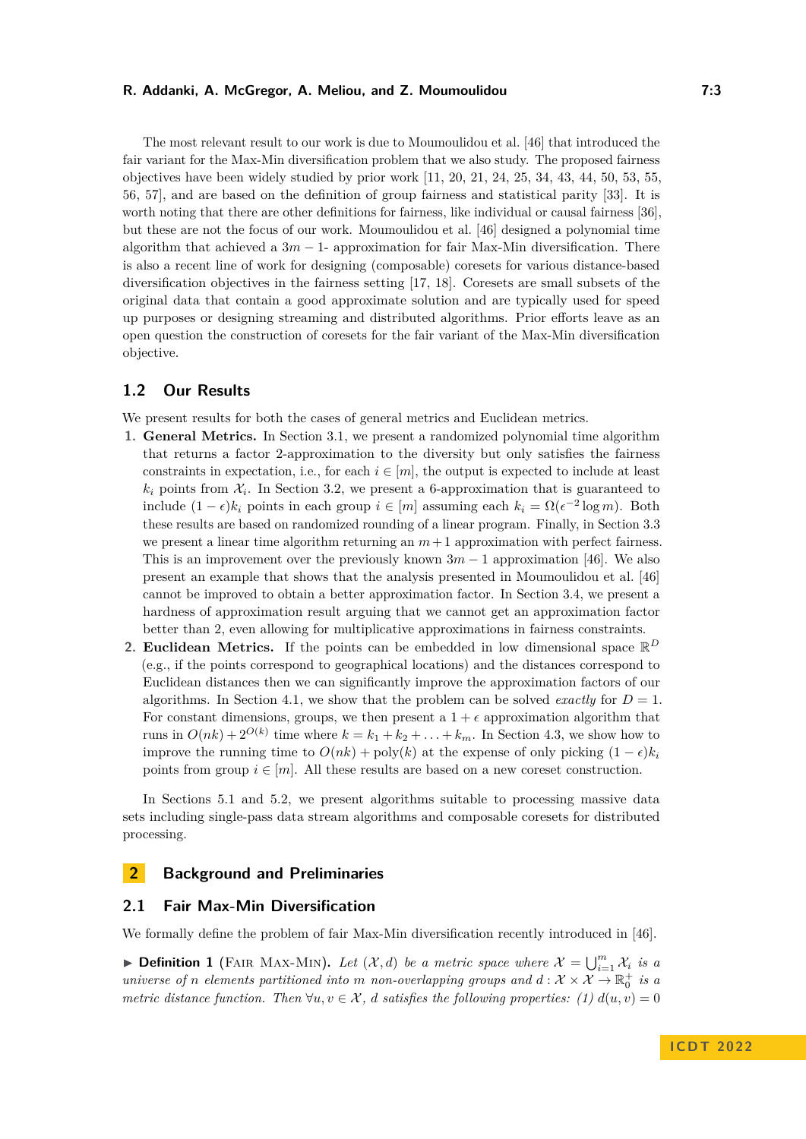The most relevant result to our work is due to Moumoulidou et al. [\[46\]](#page-20-4) that introduced the fair variant for the Max-Min diversification problem that we also study. The proposed fairness objectives have been widely studied by prior work  $[11, 20, 21, 24, 25, 34, 43, 44, 50, 53, 55,$  $[11, 20, 21, 24, 25, 34, 43, 44, 50, 53, 55,$  $[11, 20, 21, 24, 25, 34, 43, 44, 50, 53, 55,$  $[11, 20, 21, 24, 25, 34, 43, 44, 50, 53, 55,$  $[11, 20, 21, 24, 25, 34, 43, 44, 50, 53, 55,$  $[11, 20, 21, 24, 25, 34, 43, 44, 50, 53, 55,$  $[11, 20, 21, 24, 25, 34, 43, 44, 50, 53, 55,$  $[11, 20, 21, 24, 25, 34, 43, 44, 50, 53, 55,$  $[11, 20, 21, 24, 25, 34, 43, 44, 50, 53, 55,$  $[11, 20, 21, 24, 25, 34, 43, 44, 50, 53, 55,$  $[11, 20, 21, 24, 25, 34, 43, 44, 50, 53, 55,$  $[11, 20, 21, 24, 25, 34, 43, 44, 50, 53, 55,$  $[11, 20, 21, 24, 25, 34, 43, 44, 50, 53, 55,$  $[11, 20, 21, 24, 25, 34, 43, 44, 50, 53, 55,$  $[11, 20, 21, 24, 25, 34, 43, 44, 50, 53, 55,$  $[11, 20, 21, 24, 25, 34, 43, 44, 50, 53, 55,$  $[11, 20, 21, 24, 25, 34, 43, 44, 50, 53, 55,$  $[11, 20, 21, 24, 25, 34, 43, 44, 50, 53, 55,$  $[11, 20, 21, 24, 25, 34, 43, 44, 50, 53, 55,$  $[11, 20, 21, 24, 25, 34, 43, 44, 50, 53, 55,$  $[11, 20, 21, 24, 25, 34, 43, 44, 50, 53, 55,$ [56,](#page-20-11) [57\]](#page-20-12), and are based on the definition of group fairness and statistical parity [\[33\]](#page-19-17). It is worth noting that there are other definitions for fairness, like individual or causal fairness [\[36\]](#page-19-18), but these are not the focus of our work. Moumoulidou et al. [\[46\]](#page-20-4) designed a polynomial time algorithm that achieved a 3*m* − 1- approximation for fair Max-Min diversification. There is also a recent line of work for designing (composable) coresets for various distance-based diversification objectives in the fairness setting [\[17,](#page-18-12) [18\]](#page-18-13). Coresets are small subsets of the original data that contain a good approximate solution and are typically used for speed up purposes or designing streaming and distributed algorithms. Prior efforts leave as an open question the construction of coresets for the fair variant of the Max-Min diversification objective.

# **1.2 Our Results**

We present results for both the cases of general metrics and Euclidean metrics.

- **1. General Metrics.** In Section [3.1,](#page-4-0) we present a randomized polynomial time algorithm that returns a factor 2-approximation to the diversity but only satisfies the fairness constraints in expectation, i.e., for each  $i \in [m]$ , the output is expected to include at least  $k_i$  points from  $\mathcal{X}_i$ . In Section [3.2,](#page-5-0) we present a 6-approximation that is guaranteed to include (1 − *ϵ*)*k<sup>i</sup>* points in each group *i* ∈ [*m*] assuming each *k<sup>i</sup>* = Ω(*ϵ* −2 log *m*). Both these results are based on randomized rounding of a linear program. Finally, in Section [3.3](#page-7-0) we present a linear time algorithm returning an  $m+1$  approximation with perfect fairness. This is an improvement over the previously known  $3m - 1$  approximation [\[46\]](#page-20-4). We also present an example that shows that the analysis presented in Moumoulidou et al. [\[46\]](#page-20-4) cannot be improved to obtain a better approximation factor. In Section [3.4,](#page-8-0) we present a hardness of approximation result arguing that we cannot get an approximation factor better than 2, even allowing for multiplicative approximations in fairness constraints.
- **2. Euclidean Metrics.** If the points can be embedded in low dimensional space  $\mathbb{R}^D$ (e.g., if the points correspond to geographical locations) and the distances correspond to Euclidean distances then we can significantly improve the approximation factors of our algorithms. In Section [4.1,](#page-9-0) we show that the problem can be solved *exactly* for  $D = 1$ . For constant dimensions, groups, we then present a  $1 + \epsilon$  approximation algorithm that runs in  $O(nk) + 2^{O(k)}$  time where  $k = k_1 + k_2 + \ldots + k_m$ . In Section [4.3,](#page-12-0) we show how to improve the running time to  $O(nk) + \text{poly}(k)$  at the expense of only picking  $(1 - \epsilon)k_i$ points from group  $i \in [m]$ . All these results are based on a new coreset construction.

In Sections [5.1](#page-16-0) and [5.2,](#page-17-0) we present algorithms suitable to processing massive data sets including single-pass data stream algorithms and composable coresets for distributed processing.

# **2 Background and Preliminaries**

## **2.1 Fair Max-Min Diversification**

We formally define the problem of fair Max-Min diversification recently introduced in [\[46\]](#page-20-4).

**• Definition 1** (FAIR MAX-MIN). Let  $(\mathcal{X}, d)$  be a metric space where  $\mathcal{X} = \bigcup_{i=1}^{m} \mathcal{X}_i$  is a *universe of n elements partitioned into m non-overlapping groups and*  $d: \mathcal{X} \times \mathcal{X} \to \mathbb{R}_0^+$  *is a metric distance function. Then*  $\forall u, v \in \mathcal{X}$ , *d satisfies the following properties:* (1)  $d(u, v) = 0$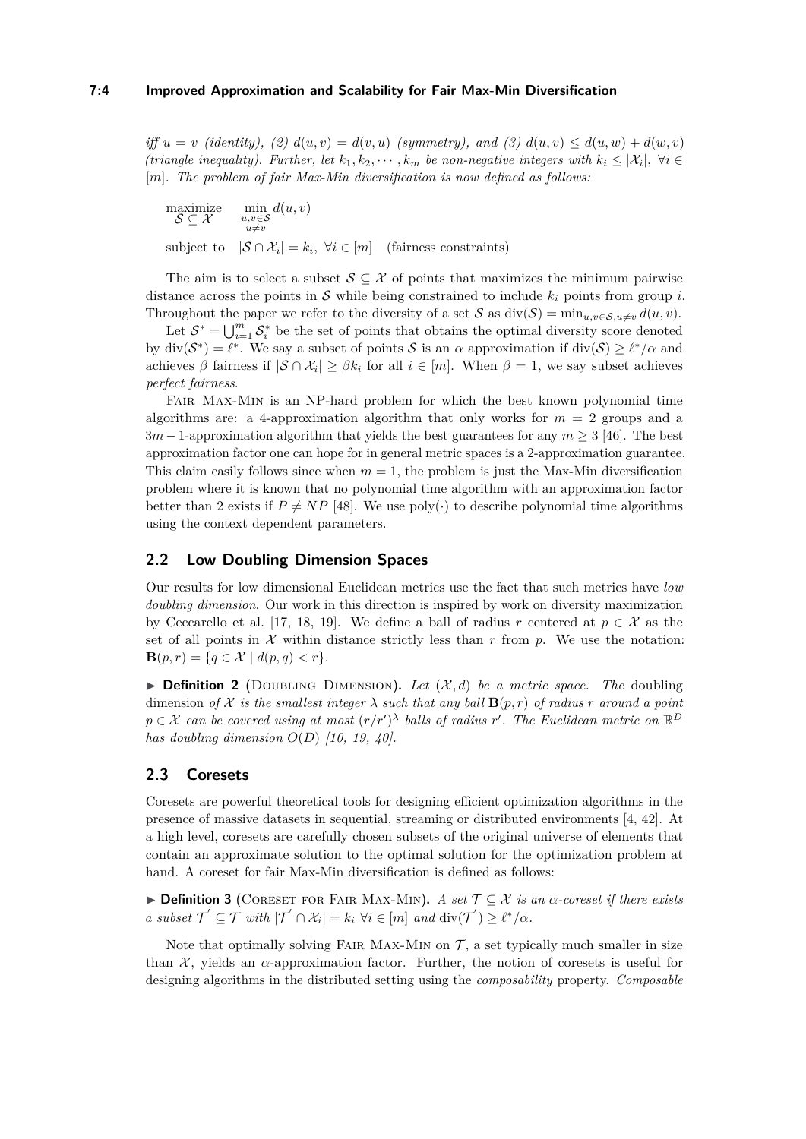*iff*  $u = v$  (*identity*), (2)  $d(u, v) = d(v, u)$  (symmetry), and (3)  $d(u, v) \leq d(u, w) + d(w, v)$ *(triangle inequality). Further, let*  $k_1, k_2, \dots, k_m$  *be non-negative integers with*  $k_i \leq |\mathcal{X}_i|$ ,  $\forall i \in$ [*m*]*. The problem of fair Max-Min diversification is now defined as follows:*

maximize  $\mathcal{S} \subseteq \mathcal{X}$ min<br>u,v∈S<br>*u*≠*v d*(*u, v*) subject to  $|\mathcal{S} \cap \mathcal{X}_i| = k_i$ ,  $\forall i \in [m]$  (fairness constraints)

The aim is to select a subset  $S \subseteq \mathcal{X}$  of points that maximizes the minimum pairwise distance across the points in S while being constrained to include  $k_i$  points from group *i*. Throughout the paper we refer to the diversity of a set S as  $\text{div}(\mathcal{S}) = \min_{u,v \in \mathcal{S}, u \neq v} d(u,v)$ .

Let  $S^* = \bigcup_{i=1}^m S_i^*$  be the set of points that obtains the optimal diversity score denoted by  $\text{div}(\mathcal{S}^*) = \ell^*$ . We say a subset of points S is an  $\alpha$  approximation if  $\text{div}(\mathcal{S}) \geq \ell^*/\alpha$  and achieves  $\beta$  fairness if  $|\mathcal{S} \cap \mathcal{X}_i| \geq \beta k_i$  for all  $i \in [m]$ . When  $\beta = 1$ , we say subset achieves *perfect fairness*.

Fair Max-Min is an NP-hard problem for which the best known polynomial time algorithms are: a 4-approximation algorithm that only works for  $m = 2$  groups and a 3*m* −1-approximation algorithm that yields the best guarantees for any *m* ≥ 3 [\[46\]](#page-20-4). The best approximation factor one can hope for in general metric spaces is a 2-approximation guarantee. This claim easily follows since when  $m = 1$ , the problem is just the Max-Min diversification problem where it is known that no polynomial time algorithm with an approximation factor better than 2 exists if  $P \neq NP$  [\[48\]](#page-20-0). We use poly(·) to describe polynomial time algorithms using the context dependent parameters.

# **2.2 Low Doubling Dimension Spaces**

Our results for low dimensional Euclidean metrics use the fact that such metrics have *low doubling dimension*. Our work in this direction is inspired by work on diversity maximization by Ceccarello et al. [\[17,](#page-18-12) [18,](#page-18-13) [19\]](#page-18-9). We define a ball of radius *r* centered at  $p \in \mathcal{X}$  as the set of all points in  $\mathcal X$  within distance strictly less than  $r$  from  $p$ . We use the notation: **B**( $p, r$ ) = { $q \in \mathcal{X} | d(p, q) < r$  }.

<span id="page-3-0"></span> $\triangleright$  **Definition 2** (DOUBLING DIMENSION). Let  $(\mathcal{X}, d)$  be a metric space. The doubling dimension *of*  $X$  *is the smallest integer*  $\lambda$  *such that any ball*  $\mathbf{B}(p,r)$  *of radius r around a point*  $p \in \mathcal{X}$  can be covered using at most  $(r/r')^{\lambda}$  balls of radius r'. The Euclidean metric on  $\mathbb{R}^D$ *has doubling dimension O*(*D*) *[\[10,](#page-18-14) [19,](#page-18-9) [40\]](#page-19-19).*

## **2.3 Coresets**

Coresets are powerful theoretical tools for designing efficient optimization algorithms in the presence of massive datasets in sequential, streaming or distributed environments [\[4,](#page-18-15) [42\]](#page-19-9). At a high level, coresets are carefully chosen subsets of the original universe of elements that contain an approximate solution to the optimal solution for the optimization problem at hand. A coreset for fair Max-Min diversification is defined as follows:

▶ **Definition 3** (Coreset for Fair Max-Min)**.** *A set* T ⊆ X *is an α-coreset if there exists a* subset  $\mathcal{T}' \subseteq \mathcal{T}$  with  $|\mathcal{T}' \cap \mathcal{X}_i| = k_i \,\forall i \in [m]$  and  $\text{div}(\mathcal{T}') \geq \ell^*/\alpha$ .

Note that optimally solving FAIR MAX-MIN on  $\mathcal{T}$ , a set typically much smaller in size than  $\mathcal{X}$ , yields an  $\alpha$ -approximation factor. Further, the notion of coresets is useful for designing algorithms in the distributed setting using the *composability* property. *Composable*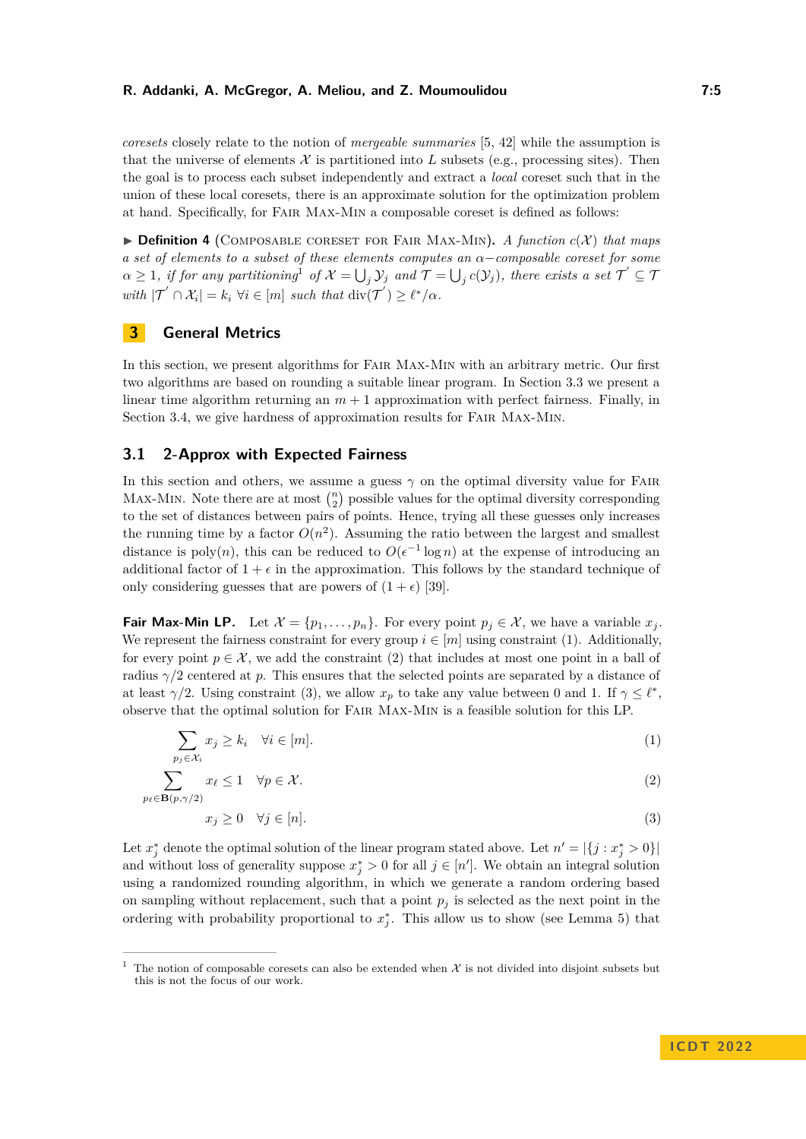*coresets* closely relate to the notion of *mergeable summaries* [\[5,](#page-18-16) [42\]](#page-19-9) while the assumption is that the universe of elements  $\mathcal X$  is partitioned into L subsets (e.g., processing sites). Then the goal is to process each subset independently and extract a *local* coreset such that in the union of these local coresets, there is an approximate solution for the optimization problem at hand. Specifically, for Fair Max-Min a composable coreset is defined as follows:

 $\triangleright$  **Definition 4** (COMPOSABLE CORESET FOR FAIR MAX-MIN). *A function*  $c(\mathcal{X})$  *that maps a set of elements to a subset of these elements computes an α*−*composable coreset for some*  $\alpha \geq 1$  $\alpha \geq 1$ , *if for any partitioning*<sup>1</sup> *of*  $\mathcal{X} = \bigcup_j \mathcal{Y}_j$  *and*  $\mathcal{T} = \bigcup_j c(\mathcal{Y}_j)$ *, there exists a set*  $\mathcal{T}' \subseteq \mathcal{T}$  $with |\mathcal{T}' \cap \mathcal{X}_i| = k_i \ \forall i \in [m] \ such \ that \ div(\mathcal{T}') \geq \ell^* / \alpha.$ 

## **3 General Metrics**

In this section, we present algorithms for Fair Max-Min with an arbitrary metric. Our first two algorithms are based on rounding a suitable linear program. In Section [3.3](#page-7-0) we present a linear time algorithm returning an  $m + 1$  approximation with perfect fairness. Finally, in Section [3.4,](#page-8-0) we give hardness of approximation results for FAIR MAX-MIN.

## <span id="page-4-0"></span>**3.1 2-Approx with Expected Fairness**

In this section and others, we assume a guess  $\gamma$  on the optimal diversity value for FAIR MAX-MIN. Note there are at most  $\binom{n}{2}$  possible values for the optimal diversity corresponding to the set of distances between pairs of points. Hence, trying all these guesses only increases the running time by a factor  $O(n^2)$ . Assuming the ratio between the largest and smallest distance is poly $(n)$ , this can be reduced to  $O(\epsilon^{-1} \log n)$  at the expense of introducing an additional factor of  $1 + \epsilon$  in the approximation. This follows by the standard technique of only considering guesses that are powers of  $(1 + \epsilon)$  [\[39\]](#page-19-20).

**Fair Max-Min LP.** Let  $\mathcal{X} = \{p_1, \ldots, p_n\}$ . For every point  $p_j \in \mathcal{X}$ , we have a variable  $x_j$ . We represent the fairness constraint for every group  $i \in [m]$  using constraint [\(1\)](#page-4-2). Additionally, for every point  $p \in \mathcal{X}$ , we add the constraint [\(2\)](#page-4-3) that includes at most one point in a ball of radius  $\gamma/2$  centered at p. This ensures that the selected points are separated by a distance of at least  $\gamma/2$ . Using constraint [\(3\)](#page-4-4), we allow  $x_p$  to take any value between 0 and 1. If  $\gamma \leq \ell^*$ , observe that the optimal solution for Fair Max-Min is a feasible solution for this LP.

$$
\sum_{p_j \in \mathcal{X}_i} x_j \ge k_i \quad \forall i \in [m]. \tag{1}
$$

$$
\sum_{p_{\ell} \in \mathbf{B}(p,\gamma/2)} x_{\ell} \le 1 \quad \forall p \in \mathcal{X}.
$$
\n
$$
(2)
$$

<span id="page-4-4"></span><span id="page-4-3"></span><span id="page-4-2"></span>
$$
x_j \ge 0 \quad \forall j \in [n]. \tag{3}
$$

Let  $x_j^*$  denote the optimal solution of the linear program stated above. Let  $n' = |\{j : x_j^* > 0\}|$ and without loss of generality suppose  $x_j^* > 0$  for all  $j \in [n']$ . We obtain an integral solution using a randomized rounding algorithm, in which we generate a random ordering based on sampling without replacement, such that a point  $p_j$  is selected as the next point in the ordering with probability proportional to  $x_j^*$ . This allow us to show (see Lemma [5\)](#page-5-1) that

<span id="page-4-1"></span><sup>&</sup>lt;sup>1</sup> The notion of composable coresets can also be extended when  $\mathcal X$  is not divided into disjoint subsets but this is not the focus of our work.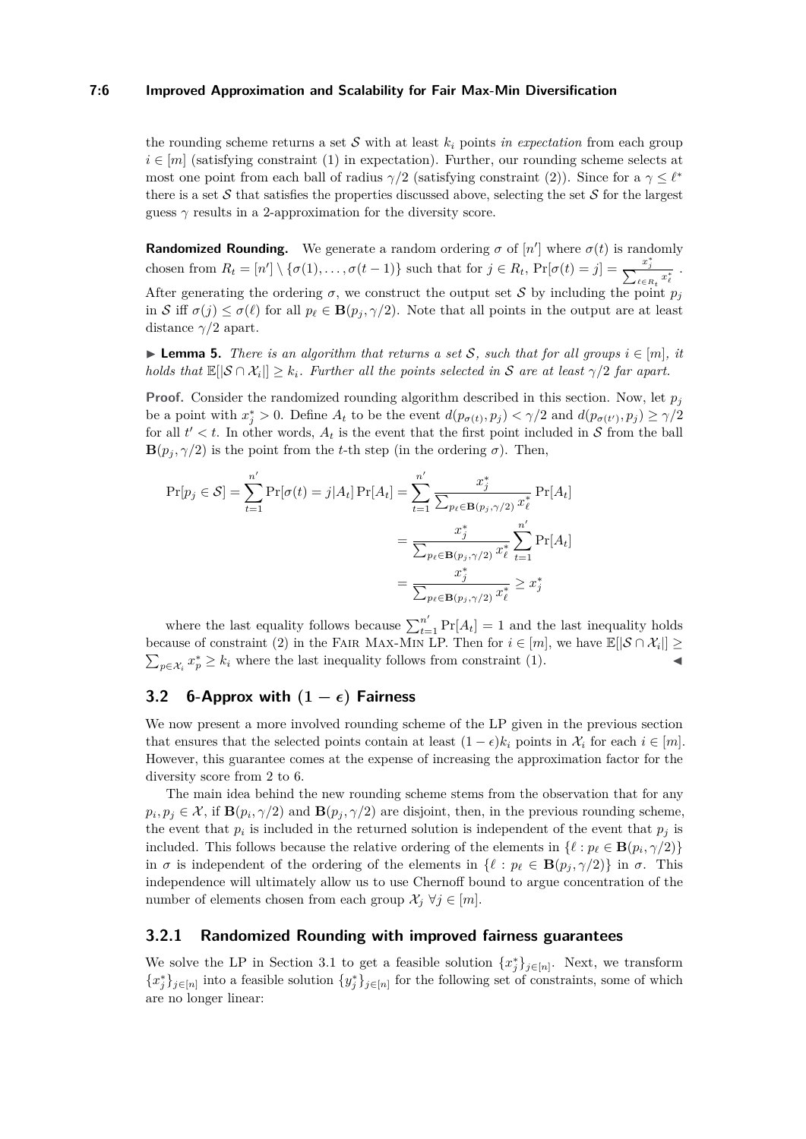#### **7:6 Improved Approximation and Scalability for Fair Max-Min Diversification**

the rounding scheme returns a set  $S$  with at least  $k_i$  points *in expectation* from each group  $i \in [m]$  (satisfying constraint [\(1\)](#page-4-2) in expectation). Further, our rounding scheme selects at most one point from each ball of radius  $\gamma/2$  (satisfying constraint [\(2\)](#page-4-3)). Since for a  $\gamma \leq \ell^*$ there is a set  $S$  that satisfies the properties discussed above, selecting the set  $S$  for the largest guess  $\gamma$  results in a 2-approximation for the diversity score.

**Randomized Rounding.** We generate a random ordering  $\sigma$  of  $[n']$  where  $\sigma(t)$  is randomly chosen from  $R_t = [n'] \setminus \{\sigma(1), \ldots, \sigma(t-1)\}\$  such that for  $j \in R_t$ ,  $Pr[\sigma(t) = j] = \frac{x_j^*}{\sum_{\ell \in R_t} x_{\ell}^*}$ . After generating the ordering  $\sigma$ , we construct the output set S by including the point  $p_j$ in S iff  $\sigma(j) \leq \sigma(\ell)$  for all  $p_{\ell} \in \mathbf{B}(p_j, \gamma/2)$ . Note that all points in the output are at least distance *γ/*2 apart.

<span id="page-5-1"></span>▶ **Lemma 5.** *There is an algorithm that returns a set S, such that for all groups*  $i \in [m]$ *, it holds that*  $\mathbb{E}[\vert \mathcal{S} \cap \mathcal{X}_i \vert] \geq k_i$ *. Further all the points selected in* S *are at least*  $\gamma/2$  *far apart.* 

**Proof.** Consider the randomized rounding algorithm described in this section. Now, let  $p_j$ be a point with  $x_j^* > 0$ . Define  $A_t$  to be the event  $d(p_{\sigma(t)}, p_j) < \gamma/2$  and  $d(p_{\sigma(t')}, p_j) \ge \gamma/2$ for all  $t' < t$ . In other words,  $A_t$  is the event that the first point included in  $S$  from the ball **B** $(p_i, \gamma/2)$  is the point from the *t*-th step (in the ordering  $\sigma$ ). Then,

$$
\Pr[p_j \in \mathcal{S}] = \sum_{t=1}^{n'} \Pr[\sigma(t) = j | A_t] \Pr[A_t] = \sum_{t=1}^{n'} \frac{x_j^*}{\sum_{p_\ell \in \mathbf{B}(p_j, \gamma/2)} x_\ell^*} \Pr[A_t]
$$

$$
= \frac{x_j^*}{\sum_{p_\ell \in \mathbf{B}(p_j, \gamma/2)} x_\ell^*} \sum_{t=1}^{n'} \Pr[A_t]
$$

$$
= \frac{x_j^*}{\sum_{p_\ell \in \mathbf{B}(p_j, \gamma/2)} x_\ell^*} \ge x_j^*
$$

where the last equality follows because  $\sum_{t=1}^{n'} \Pr[A_t] = 1$  and the last inequality holds because of constraint [\(2\)](#page-4-3) in the FAIR MAX-MIN LP. Then for  $i \in [m]$ , we have  $\mathbb{E}[|\mathcal{S} \cap \mathcal{X}_i|] \geq$  $\sum_{p \in \mathcal{X}_i} x_p^* \geq k_i$  where the last inequality follows from constraint [\(1\)](#page-4-2).

## <span id="page-5-0"></span>**3.2** 6-Approx with  $(1 - \epsilon)$  Fairness

We now present a more involved rounding scheme of the LP given in the previous section that ensures that the selected points contain at least  $(1 - \epsilon)k_i$  points in  $\mathcal{X}_i$  for each  $i \in [m]$ . However, this guarantee comes at the expense of increasing the approximation factor for the diversity score from 2 to 6.

The main idea behind the new rounding scheme stems from the observation that for any  $p_i, p_j \in \mathcal{X}$ , if  $\mathbf{B}(p_i, \gamma/2)$  and  $\mathbf{B}(p_j, \gamma/2)$  are disjoint, then, in the previous rounding scheme, the event that  $p_i$  is included in the returned solution is independent of the event that  $p_j$  is included. This follows because the relative ordering of the elements in  $\{\ell : p_{\ell} \in \mathbf{B}(p_i, \gamma/2)\}\$ in  $\sigma$  is independent of the ordering of the elements in  $\{\ell : p_{\ell} \in \mathbf{B}(p_i, \gamma/2)\}\$  in  $\sigma$ . This independence will ultimately allow us to use Chernoff bound to argue concentration of the number of elements chosen from each group  $\mathcal{X}_i \ \forall j \in [m]$ .

## **3.2.1 Randomized Rounding with improved fairness guarantees**

We solve the LP in Section [3.1](#page-4-0) to get a feasible solution  $\{x_j^*\}_{j\in[n]}$ . Next, we transform  ${x_j^*}_{j \in [n]}$  into a feasible solution  ${y_j^*}_{j \in [n]}$  for the following set of constraints, some of which are no longer linear: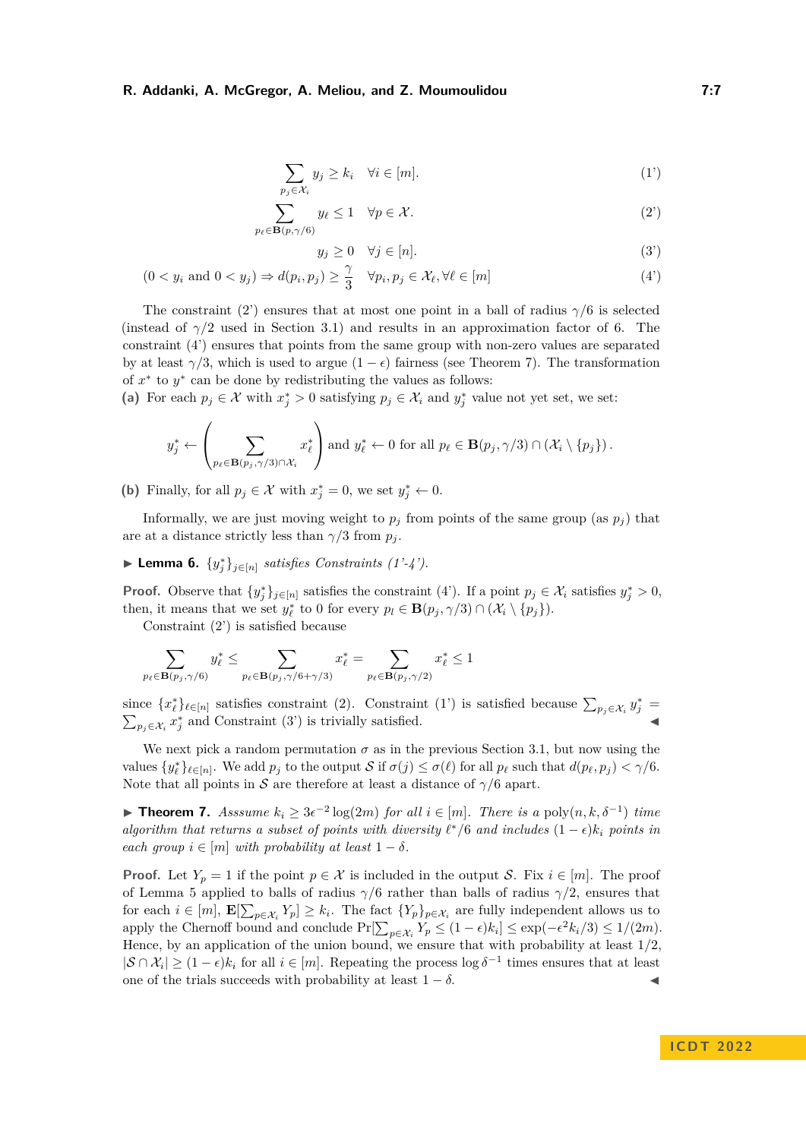$$
\sum_{p_j \in \mathcal{X}_i} y_j \ge k_i \quad \forall i \in [m]. \tag{1'}
$$

$$
\sum_{p_{\ell} \in \mathbf{B}(p,\gamma/6)} y_{\ell} \le 1 \quad \forall p \in \mathcal{X}.
$$
 (2')

<span id="page-6-4"></span><span id="page-6-3"></span><span id="page-6-1"></span><span id="page-6-0"></span>
$$
y_j \ge 0 \quad \forall j \in [n]. \tag{3'}
$$

$$
(0 < y_i \text{ and } 0 < y_j) \Rightarrow d(p_i, p_j) \ge \frac{\gamma}{3} \quad \forall p_i, p_j \in \mathcal{X}_{\ell}, \forall \ell \in [m]
$$
 (4')

The constraint [\(2'\)](#page-6-0) ensures that at most one point in a ball of radius  $\gamma/6$  is selected (instead of  $\gamma/2$  used in Section [3.1\)](#page-4-0) and results in an approximation factor of 6. The constraint [\(4'\)](#page-6-1) ensures that points from the same group with non-zero values are separated by at least  $\gamma/3$ , which is used to argue  $(1 - \epsilon)$  fairness (see Theorem [7\)](#page-6-2). The transformation of  $x^*$  to  $y^*$  can be done by redistributing the values as follows:

(a) For each  $p_j \in \mathcal{X}$  with  $x_j^* > 0$  satisfying  $p_j \in \mathcal{X}_i$  and  $y_j^*$  value not yet set, we set:

$$
y_j^* \leftarrow \left(\sum_{p_\ell \in \mathbf{B}(p_j, \gamma/3) \cap \mathcal{X}_i} x_\ell^*\right) \text{ and } y_\ell^* \leftarrow 0 \text{ for all } p_\ell \in \mathbf{B}(p_j, \gamma/3) \cap (\mathcal{X}_i \setminus \{p_j\}).
$$

(b) Finally, for all  $p_j \in \mathcal{X}$  with  $x_j^* = 0$ , we set  $y_j^* \leftarrow 0$ .

Informally, we are just moving weight to  $p_j$  from points of the same group (as  $p_j$ ) that are at a distance strictly less than  $\gamma/3$  from  $p_j$ .

▶ **Lemma 6.**  $\{y_j^*\}_{j \in [n]}$  *satisfies Constraints (1'-4').* 

**Proof.** Observe that  $\{y_j^*\}_{j \in [n]}$  satisfies the constraint  $(4')$ . If a point  $p_j \in \mathcal{X}_i$  satisfies  $y_j^* > 0$ , then, it means that we set  $y_{\ell}^*$  to 0 for every  $p_l \in \mathbf{B}(p_j, \gamma/3) \cap (\mathcal{X}_i \setminus \{p_j\}).$ 

Constraint [\(2'\)](#page-6-0) is satisfied because

$$
\sum_{p_{\ell} \in \mathbf{B}(p_j, \gamma/6)} y_{\ell}^* \le \sum_{p_{\ell} \in \mathbf{B}(p_j, \gamma/6 + \gamma/3)} x_{\ell}^* = \sum_{p_{\ell} \in \mathbf{B}(p_j, \gamma/2)} x_{\ell}^* \le 1
$$

since  $\{x_\ell^*\}_{\ell \in [n]}$  satisfies constraint [\(2\)](#page-4-3). Constraint [\(1'\)](#page-6-3) is satisfied because  $\sum_{p_j \in \mathcal{X}_i} y_j^* =$  $\sum_{p_j \in \mathcal{X}_i} x_j^*$  and Constraint [\(3'\)](#page-6-4) is trivially satisfied.  $\triangleleft$ 

We next pick a random permutation  $\sigma$  as in the previous Section [3.1,](#page-4-0) but now using the values  $\{y_{\ell}^*\}_{\ell \in [n]}$ . We add  $p_j$  to the output S if  $\sigma(j) \leq \sigma(\ell)$  for all  $p_{\ell}$  such that  $d(p_{\ell}, p_j) < \gamma/6$ . Note that all points in S are therefore at least a distance of  $\gamma/6$  apart.

<span id="page-6-2"></span>▶ **Theorem 7.** *Asssume*  $k_i \geq 3\epsilon^{-2} \log(2m)$  *for all*  $i \in [m]$ *. There is a* poly $(n, k, \delta^{-1})$  *time algorithm that returns a subset of points with diversity*  $\ell^*/6$  *and includes*  $(1 - \epsilon)k_i$  *points in each group*  $i \in [m]$  *with probability at least*  $1 - \delta$ *.* 

**Proof.** Let  $Y_p = 1$  if the point  $p \in \mathcal{X}$  is included in the output S. Fix  $i \in [m]$ . The proof of Lemma [5](#page-5-1) applied to balls of radius *γ/*6 rather than balls of radius *γ/*2, ensures that for each  $i \in [m]$ ,  $\mathbf{E}[\sum_{p \in \mathcal{X}_i} Y_p] \geq k_i$ . The fact  $\{Y_p\}_{p \in \mathcal{X}_i}$  are fully independent allows us to apply the Chernoff bound and conclude  $Pr[\sum_{p \in \mathcal{X}_i} Y_p \leq (1 - \epsilon)k_i] \leq \exp(-\epsilon^2 k_i/3) \leq 1/(2m)$ . Hence, by an application of the union bound, we ensure that with probability at least 1*/*2,  $|S \cap \mathcal{X}_i| \geq (1 - \epsilon) k_i$  for all  $i \in [m]$ . Repeating the process log  $\delta^{-1}$  times ensures that at least one of the trials succeeds with probability at least  $1 - \delta$ .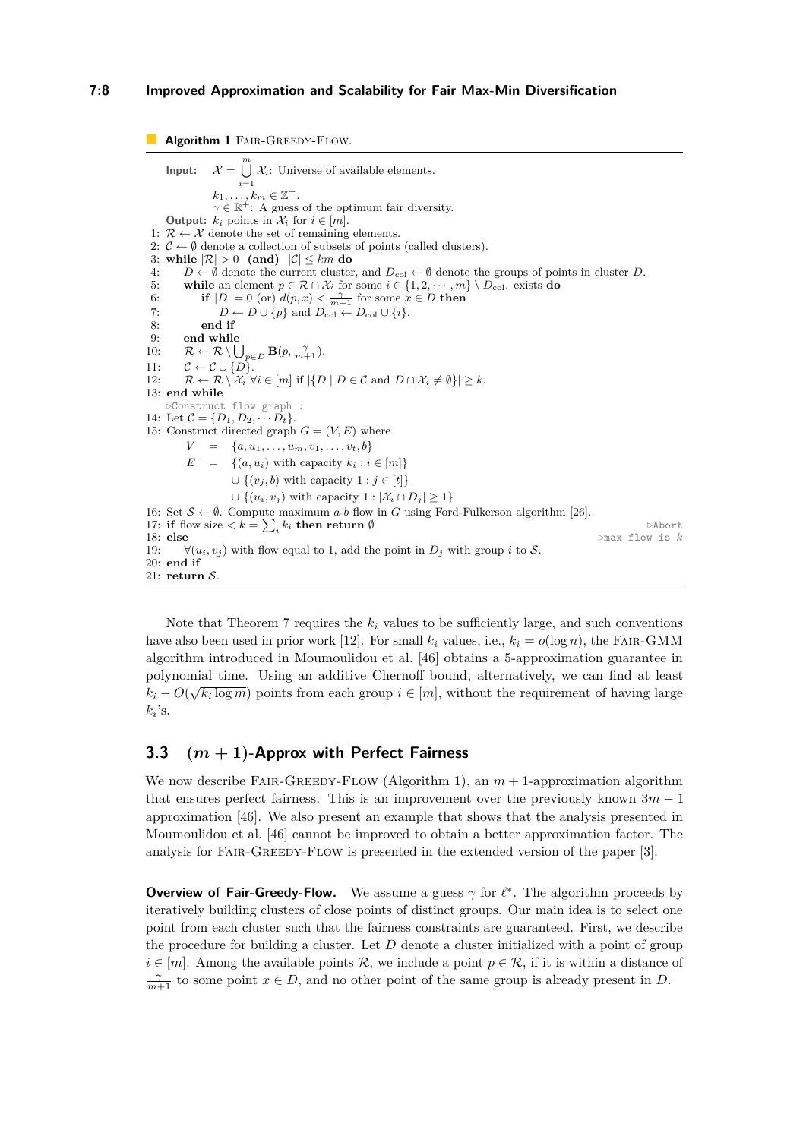## **7:8 Improved Approximation and Scalability for Fair Max-Min Diversification**

<span id="page-7-1"></span>**Algorithm 1 FAIR-GREEDY-FLOW.**  $Input:$  $\bigcup^m$   $\mathcal{X}_i$ : Universe of available elements. *i*=1  $k_1, \ldots, k_m \in \mathbb{Z}^+$ .  $\gamma \in \mathbb{R}^+$ : A guess of the optimum fair diversity. **Output:**  $k_i$  points in  $\mathcal{X}_i$  for  $i \in [m]$ . 1:  $\mathcal{R} \leftarrow \mathcal{X}$  denote the set of remaining elements. 2:  $\mathcal{C} \leftarrow \emptyset$  denote a collection of subsets of points (called clusters). 3: while  $|\mathcal{R}| > 0$  (and)  $|\mathcal{C}| \leq km$  do 4:  $D \leftarrow \emptyset$  denote the current cluster, and  $D_{\text{col}} \leftarrow \emptyset$  denote the groups of points in cluster *D*. 5: **while** an element  $p \in \mathcal{R} \cap \mathcal{X}_i$  for some  $i \in \{1, 2, \dots, m\} \setminus D_{\text{col}}$  exists **do** 6: **if**  $|D| = 0$  (or)  $d(p, x) < \frac{\gamma}{m+1}$  for some  $x \in D$  then 7:  $D \leftarrow D \cup \{p\}$  and  $D_{\text{col}} \leftarrow D_{\text{col}} \cup \{i\}.$ 8: **end if** end while 10:  $\mathcal{R} \leftarrow \mathcal{R} \setminus \bigcup_{p \in D} \mathbf{B}(p, \frac{\gamma}{m+1}).$ 11:  $\mathcal{C} \leftarrow \mathcal{C} \cup \{D\}.$ <br>12:  $\mathcal{R} \leftarrow \mathcal{R} \setminus \mathcal{X}$ :  $\forall$  $\mathcal{R} \leftarrow \mathcal{R} \setminus \mathcal{X}_i \ \forall i \in [m] \text{ if } |\{D \mid D \in \mathcal{C} \text{ and } D \cap \mathcal{X}_i \neq \emptyset\}| > k.$ 13: **end while** *▷*Construct flow graph : 14: Let  $C = \{D_1, D_2, \cdots, D_t\}.$ 15: Construct directed graph  $G = (V, E)$  where  $V = \{a, u_1, \ldots, u_m, v_1, \ldots, v_t, b\}$  $E = \{(a, u_i) \text{ with capacity } k_i : i \in [m]\}$ ∪  $\{(v_j, b)$  with capacity  $1 : j \in [t]\}$ ∪  $\{(u_i, v_j)$  with capacity  $1 : |X_i \cap D_j| > 1\}$ 16: Set  $S \leftarrow \emptyset$ . Compute maximum *a-b* flow in *G* using Ford-Fulkerson algorithm [\[26\]](#page-19-21). 17: **if** flow size  $\langle k| = \sum_{i} k_i$  **then return** Ø *>Abort* 18: **else** *▷*max flow is *k* 19:  $\forall (u_i, v_j)$  with flow equal to 1, add the point in  $D_i$  with group *i* to S. 20: **end if** 21: **return**  $S$ 

Note that Theorem [7](#page-6-2) requires the  $k_i$  values to be sufficiently large, and such conventions have also been used in prior work [\[12\]](#page-18-6). For small  $k_i$  values, i.e.,  $k_i = o(\log n)$ , the FAIR-GMM algorithm introduced in Moumoulidou et al. [\[46\]](#page-20-4) obtains a 5-approximation guarantee in polynomial time. Using an additive Chernoff bound, alternatively, we can find at least  $k_i - O(\sqrt{k_i \log m})$  points from each group  $i \in [m]$ , without the requirement of having large  $k_i$ 's.

# <span id="page-7-0"></span>**3.3 (***m* **+ 1)-Approx with Perfect Fairness**

We now describe FAIR-GREEDY-FLOW (Algorithm [1\)](#page-7-1), an  $m + 1$ -approximation algorithm that ensures perfect fairness. This is an improvement over the previously known  $3m - 1$ approximation [\[46\]](#page-20-4). We also present an example that shows that the analysis presented in Moumoulidou et al. [\[46\]](#page-20-4) cannot be improved to obtain a better approximation factor. The analysis for FAIR-GREEDY-FLOW is presented in the extended version of the paper [\[3\]](#page-18-17).

**Overview of Fair-Greedy-Flow.** We assume a guess *γ* for *ℓ* ∗ . The algorithm proceeds by iteratively building clusters of close points of distinct groups. Our main idea is to select one point from each cluster such that the fairness constraints are guaranteed. First, we describe the procedure for building a cluster. Let *D* denote a cluster initialized with a point of group  $i \in [m]$ . Among the available points  $\mathcal{R}$ , we include a point  $p \in \mathcal{R}$ , if it is within a distance of  $\frac{\gamma}{m+1}$  to some point  $x \in D$ , and no other point of the same group is already present in *D*.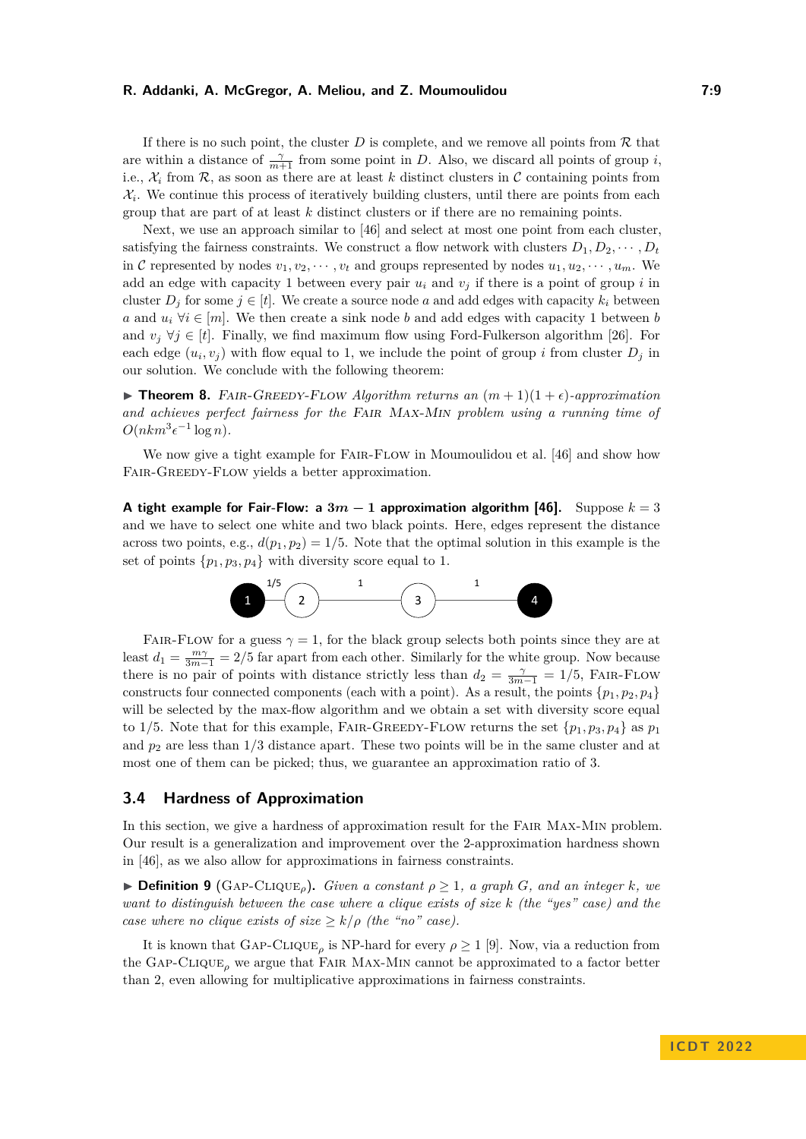If there is no such point, the cluster  $D$  is complete, and we remove all points from  $R$  that are within a distance of  $\frac{\gamma}{m+1}$  from some point in *D*. Also, we discard all points of group *i*, i.e.,  $\mathcal{X}_i$  from  $\mathcal{R}$ , as soon as there are at least k distinct clusters in C containing points from  $\mathcal{X}_i$ . We continue this process of iteratively building clusters, until there are points from each group that are part of at least *k* distinct clusters or if there are no remaining points.

Next, we use an approach similar to [\[46\]](#page-20-4) and select at most one point from each cluster, satisfying the fairness constraints. We construct a flow network with clusters  $D_1, D_2, \cdots, D_t$ in C represented by nodes  $v_1, v_2, \dots, v_t$  and groups represented by nodes  $u_1, u_2, \dots, u_m$ . We add an edge with capacity 1 between every pair  $u_i$  and  $v_j$  if there is a point of group *i* in cluster  $D_j$  for some  $j \in [t]$ . We create a source node a and add edges with capacity  $k_i$  between *a* and  $u_i \ \forall i \in [m]$ . We then create a sink node *b* and add edges with capacity 1 between *b* and  $v_j \ \forall j \in [t]$ . Finally, we find maximum flow using Ford-Fulkerson algorithm [\[26\]](#page-19-21). For each edge  $(u_i, v_j)$  with flow equal to 1, we include the point of group *i* from cluster  $D_j$  in our solution. We conclude with the following theorem:

▶ **Theorem 8.** FAIR-GREEDY-FLOW Algorithm returns an  $(m+1)(1+\epsilon)$ -approximation *and achieves perfect fairness for the* Fair Max-Min *problem using a running time of*  $O(nkm^3\epsilon^{-1}\log n)$ .

We now give a tight example for FAIR-FLOW in Moumoulidou et al. [\[46\]](#page-20-4) and show how FAIR-GREEDY-FLOW yields a better approximation.

**A** tight example for Fair-Flow: a  $3m - 1$  approximation algorithm [\[46\]](#page-20-4). Suppose  $k = 3$ and we have to select one white and two black points. Here, edges represent the distance across two points, e.g.,  $d(p_1, p_2) = 1/5$ . Note that the optimal solution in this example is the set of points  $\{p_1, p_3, p_4\}$  with diversity score equal to 1.



FAIR-FLOW for a guess  $\gamma = 1$ , for the black group selects both points since they are at least  $d_1 = \frac{m\gamma}{3m-1} = 2/5$  far apart from each other. Similarly for the white group. Now because there is no pair of points with distance strictly less than  $d_2 = \frac{\gamma}{3m-1} = 1/5$ , FAIR-FLOW constructs four connected components (each with a point). As a result, the points  $\{p_1, p_2, p_4\}$ will be selected by the max-flow algorithm and we obtain a set with diversity score equal to 1/5. Note that for this example, FAIR-GREEDY-FLOW returns the set  $\{p_1, p_3, p_4\}$  as  $p_1$ and *p*<sup>2</sup> are less than 1*/*3 distance apart. These two points will be in the same cluster and at most one of them can be picked; thus, we guarantee an approximation ratio of 3.

# <span id="page-8-0"></span>**3.4 Hardness of Approximation**

In this section, we give a hardness of approximation result for the Fair Max-Min problem. Our result is a generalization and improvement over the 2-approximation hardness shown in [\[46\]](#page-20-4), as we also allow for approximations in fairness constraints.

 $\triangleright$  **Definition 9** (GAP-CLIQUE<sub>*o*</sub>). *Given a constant*  $\rho > 1$ , a graph *G*, and an integer *k*, we *want to distinguish between the case where a clique exists of size k (the "yes" case) and the case where no clique exists of size*  $\geq k/\rho$  *(the "no" case).* 

It is known that  $GAP-CLIQUE_{\rho}$  is NP-hard for every  $\rho \geq 1$  [\[9\]](#page-18-18). Now, via a reduction from the Gap-Clique*<sup>ρ</sup>* we argue that Fair Max-Min cannot be approximated to a factor better than 2, even allowing for multiplicative approximations in fairness constraints.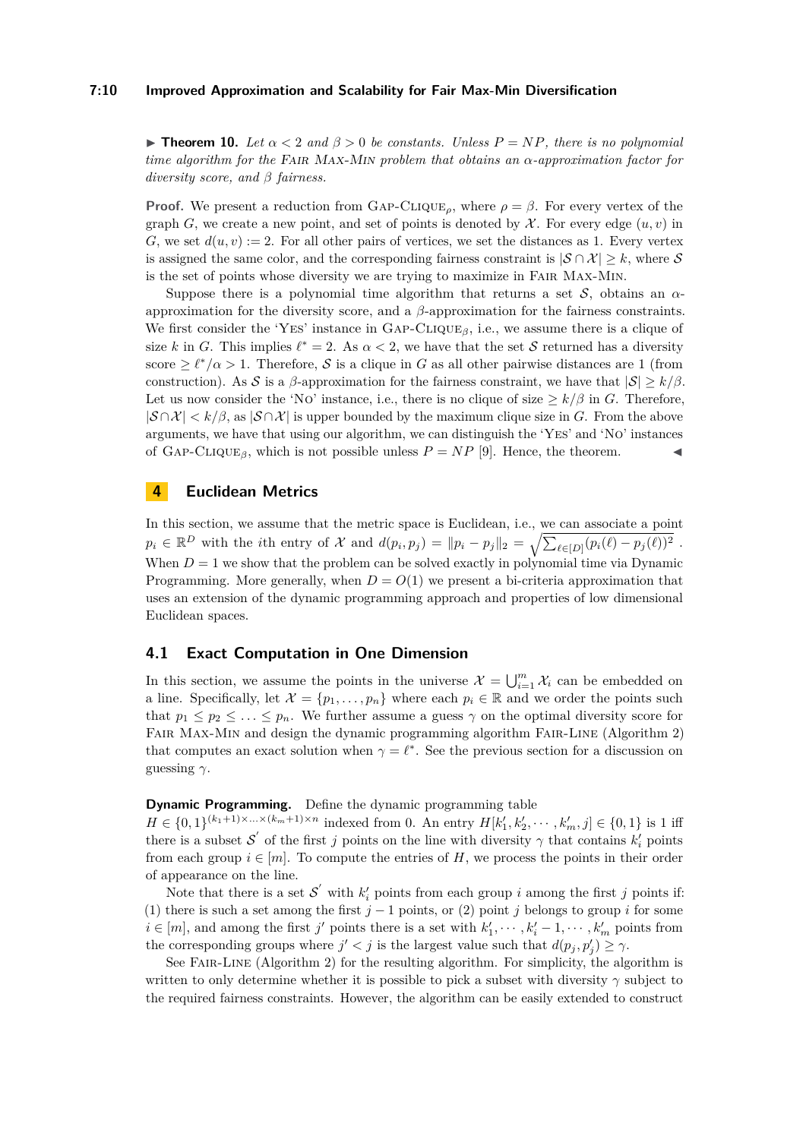#### **7:10 Improved Approximation and Scalability for Fair Max-Min Diversification**

**► Theorem 10.** Let  $\alpha$  < 2 and  $\beta$  > 0 be constants. Unless  $P = NP$ , there is no polynomial *time algorithm for the* Fair Max-Min *problem that obtains an α-approximation factor for diversity score, and β fairness.*

**Proof.** We present a reduction from GAP-CLIQUE<sub>ρ</sub>, where  $\rho = \beta$ . For every vertex of the graph *G*, we create a new point, and set of points is denoted by  $\mathcal{X}$ . For every edge  $(u, v)$  in *G*, we set  $d(u, v) := 2$ . For all other pairs of vertices, we set the distances as 1. Every vertex is assigned the same color, and the corresponding fairness constraint is  $|\mathcal{S} \cap \mathcal{X}| \geq k$ , where S is the set of points whose diversity we are trying to maximize in Fair Max-Min.

Suppose there is a polynomial time algorithm that returns a set  $\mathcal{S}$ , obtains an  $\alpha$ approximation for the diversity score, and a *β*-approximation for the fairness constraints. We first consider the 'YES' instance in  $\text{GAP-CLIQUE}_{\beta}$ , i.e., we assume there is a clique of size *k* in *G*. This implies  $\ell^* = 2$ . As  $\alpha < 2$ , we have that the set *S* returned has a diversity score  $\geq \ell^*/\alpha > 1$ . Therefore, S is a clique in G as all other pairwise distances are 1 (from construction). As S is a  $\beta$ -approximation for the fairness constraint, we have that  $|S| \ge k/\beta$ . Let us now consider the 'NO' instance, i.e., there is no clique of size  $\geq k/\beta$  in *G*. Therefore,  $|S \cap \mathcal{X}| < k/\beta$ , as  $|S \cap \mathcal{X}|$  is upper bounded by the maximum clique size in *G*. From the above arguments, we have that using our algorithm, we can distinguish the 'Yes' and 'No' instances of GAP-CLIQUE<sub>*β*</sub>, which is not possible unless  $P = NP$  [\[9\]](#page-18-18). Hence, the theorem.

## **4 Euclidean Metrics**

In this section, we assume that the metric space is Euclidean, i.e., we can associate a point  $p_i \in \mathbb{R}^D$  with the *i*th entry of X and  $d(p_i, p_j) = ||p_i - p_j||_2 = \sqrt{\sum_{\ell \in [D]} (p_i(\ell) - p_j(\ell))^2}$ . When  $D = 1$  we show that the problem can be solved exactly in polynomial time via Dynamic Programming. More generally, when  $D = O(1)$  we present a bi-criteria approximation that uses an extension of the dynamic programming approach and properties of low dimensional Euclidean spaces.

## <span id="page-9-0"></span>**4.1 Exact Computation in One Dimension**

In this section, we assume the points in the universe  $\mathcal{X} = \bigcup_{i=1}^m \mathcal{X}_i$  can be embedded on a line. Specifically, let  $\mathcal{X} = \{p_1, \ldots, p_n\}$  where each  $p_i \in \mathbb{R}$  and we order the points such that  $p_1 \leq p_2 \leq \ldots \leq p_n$ . We further assume a guess  $\gamma$  on the optimal diversity score for Fair Max-Min and design the dynamic programming algorithm Fair-Line (Algorithm [2\)](#page-10-0) that computes an exact solution when  $\gamma = \ell^*$ . See the previous section for a discussion on guessing *γ*.

## **Dynamic Programming.** Define the dynamic programming table

 $H \in \{0,1\}^{(k_1+1)\times\ldots\times(k_m+1)\times n}$  indexed from 0. An entry  $H[k'_1, k'_2, \cdots, k'_m, j] \in \{0,1\}$  is 1 iff there is a subset  $\mathcal{S}'$  of the first *j* points on the line with diversity  $\gamma$  that contains  $k'_i$  points from each group  $i \in [m]$ . To compute the entries of *H*, we process the points in their order of appearance on the line.

Note that there is a set  $\mathcal{S}'$  with  $k'_{i}$  points from each group *i* among the first *j* points if: (1) there is such a set among the first  $j-1$  points, or (2) point *j* belongs to group *i* for some  $i \in [m]$ , and among the first *j'* points there is a set with  $k'_1, \dots, k'_i - 1, \dots, k'_m$  points from the corresponding groups where  $j' < j$  is the largest value such that  $d(p_j, p'_j) \geq \gamma$ .

See Fair-Line (Algorithm [2\)](#page-10-0) for the resulting algorithm. For simplicity, the algorithm is written to only determine whether it is possible to pick a subset with diversity  $\gamma$  subject to the required fairness constraints. However, the algorithm can be easily extended to construct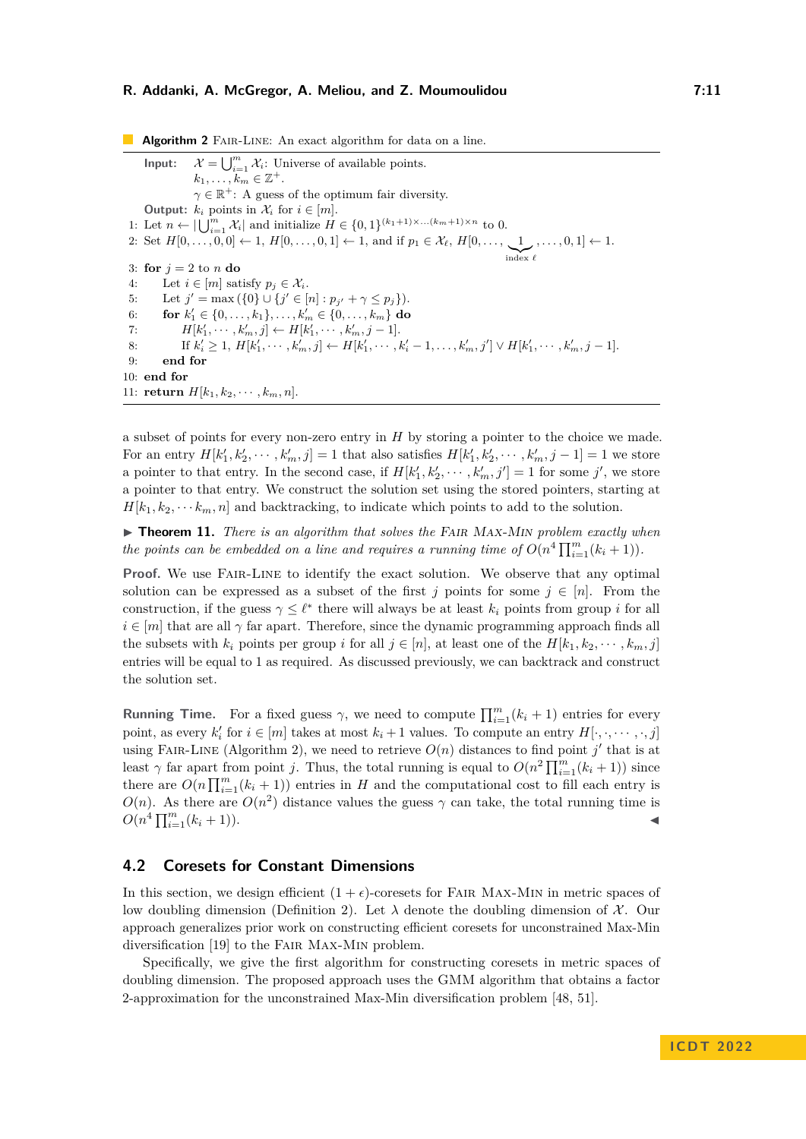<span id="page-10-0"></span>**Algorithm 2** FAIR-LINE: An exact algorithm for data on a line.  $Input:$  $\bigcup_{i=1}^m \mathcal{X}_i$ : Universe of available points.  $k_1, \ldots, k_m \in \mathbb{Z}^+$ .  $\gamma \in \mathbb{R}^+$ : A guess of the optimum fair diversity. **Output:**  $k_i$  points in  $\mathcal{X}_i$  for  $i \in [m]$ . 1: Let  $n \leftarrow |\bigcup_{i=1}^{m} \mathcal{X}_i|$  and initialize  $H \in \{0,1\}^{(k_1+1)\times... (k_m+1)\times n}$  to 0. 2: Set  $H[0, \ldots, 0, 0] \leftarrow 1, H[0, \ldots, 0, 1] \leftarrow 1$ , and if  $p_1 \in \mathcal{X}_{\ell}, H[0, \ldots, 1]$  $\sum_{\text{index } \ell}$  $, \ldots, 0, 1] \leftarrow 1.$ 3: **for**  $j = 2$  to *n* **do** 4: Let  $i \in [m]$  satisfy  $p_j \in \mathcal{X}_i$ . 5: Let  $j' = \max(\{0\} \cup \{j' \in [n] : p_{j'} + \gamma \leq p_j\}).$ 6: **for**  $k'_1 \in \{0, \ldots, k_1\}, \ldots, k'_m \in \{0, \ldots, k_m\}$  do 7:  $H[k'_1, \cdots, k'_m, j] \leftarrow H[k'_1, \cdots, k'_m, j-1].$ 8: If  $k'_i \geq 1$ ,  $H[k'_1, \cdots, k'_m, j] \leftarrow H[k'_1, \cdots, k'_i - 1, \ldots, k'_m, j'] \vee H[k'_1, \cdots, k'_m, j-1].$ 9: **end for** 10: **end for** 11: **return**  $H[k_1, k_2, \cdots, k_m, n]$ .

a subset of points for every non-zero entry in *H* by storing a pointer to the choice we made. For an entry  $H[k'_1, k'_2, \dots, k'_m, j] = 1$  that also satisfies  $H[k'_1, k'_2, \dots, k'_m, j - 1] = 1$  we store a pointer to that entry. In the second case, if  $H[k'_1, k'_2, \cdots, k'_m, j'] = 1$  for some  $j'$ , we store a pointer to that entry. We construct the solution set using the stored pointers, starting at  $H[k_1, k_2, \cdots k_m, n]$  and backtracking, to indicate which points to add to the solution.

▶ **Theorem 11.** *There is an algorithm that solves the* Fair Max-Min *problem exactly when the points can be embedded on a line and requires a running time of*  $O(n^4 \prod_{i=1}^m (k_i + 1))$ *.* 

Proof. We use FAIR-LINE to identify the exact solution. We observe that any optimal solution can be expressed as a subset of the first *j* points for some  $j \in [n]$ . From the construction, if the guess  $\gamma \leq \ell^*$  there will always be at least  $k_i$  points from group *i* for all  $i \in [m]$  that are all  $\gamma$  far apart. Therefore, since the dynamic programming approach finds all the subsets with  $k_i$  points per group *i* for all  $j \in [n]$ , at least one of the  $H[k_1, k_2, \dots, k_m, j]$ entries will be equal to 1 as required. As discussed previously, we can backtrack and construct the solution set.

**Running Time.** For a fixed guess  $\gamma$ , we need to compute  $\prod_{i=1}^{m} (k_i + 1)$  entries for every point, as every  $k'_{i}$  for  $i \in [m]$  takes at most  $k_{i} + 1$  values. To compute an entry  $H[\cdot, \cdot, \dots, \cdot, j]$ using FAIR-LINE (Algorithm [2\)](#page-10-0), we need to retrieve  $O(n)$  distances to find point  $j'$  that is at least  $\gamma$  far apart from point *j*. Thus, the total running is equal to  $O(n^2 \prod_{i=1}^m (k_i + 1))$  since there are  $O(n \prod_{i=1}^{m} (k_i + 1))$  entries in *H* and the computational cost to fill each entry is  $O(n)$ . As there are  $O(n^2)$  distance values the guess  $\gamma$  can take, the total running time is  $O(n^4 \prod_{i=1}^m (k_i + 1)).$ 

## <span id="page-10-1"></span>**4.2 Coresets for Constant Dimensions**

In this section, we design efficient  $(1 + \epsilon)$ -coresets for FAIR MAX-MIN in metric spaces of low doubling dimension (Definition [2\)](#page-3-0). Let  $\lambda$  denote the doubling dimension of X. Our approach generalizes prior work on constructing efficient coresets for unconstrained Max-Min diversification [\[19\]](#page-18-9) to the Fair Max-Min problem.

Specifically, we give the first algorithm for constructing coresets in metric spaces of doubling dimension. The proposed approach uses the GMM algorithm that obtains a factor 2-approximation for the unconstrained Max-Min diversification problem [\[48,](#page-20-0) [51\]](#page-20-13).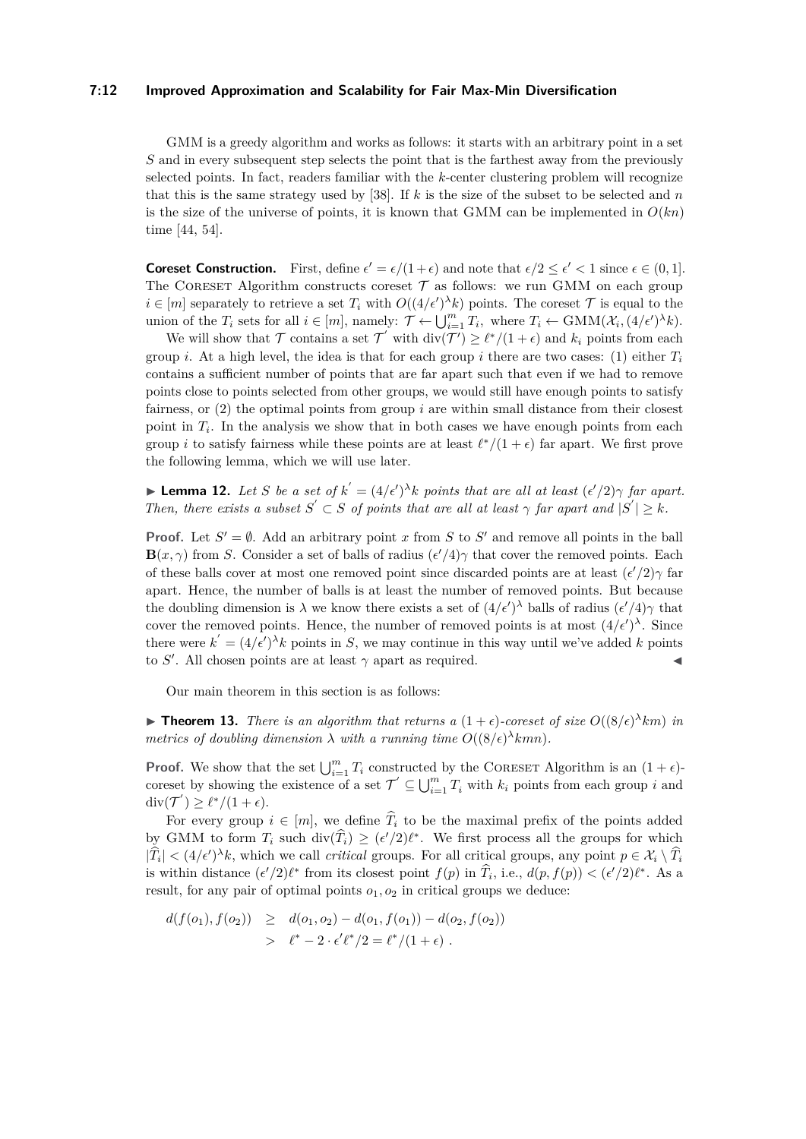#### **7:12 Improved Approximation and Scalability for Fair Max-Min Diversification**

GMM is a greedy algorithm and works as follows: it starts with an arbitrary point in a set *S* and in every subsequent step selects the point that is the farthest away from the previously selected points. In fact, readers familiar with the *k*-center clustering problem will recognize that this is the same strategy used by [\[38\]](#page-19-22). If *k* is the size of the subset to be selected and *n* is the size of the universe of points, it is known that GMM can be implemented in  $O(kn)$ time [\[44,](#page-20-7) [54\]](#page-20-2).

**Coreset Construction.** First, define  $\epsilon' = \epsilon/(1+\epsilon)$  and note that  $\epsilon/2 \leq \epsilon' < 1$  since  $\epsilon \in (0,1]$ . The CORESET Algorithm constructs coreset  $\mathcal T$  as follows: we run GMM on each group  $i \in [m]$  separately to retrieve a set  $T_i$  with  $O((4/\epsilon')^{\lambda}k)$  points. The coreset  $\mathcal T$  is equal to the union of the  $T_i$  sets for all  $i \in [m]$ , namely:  $\mathcal{T} \leftarrow \bigcup_{i=1}^m T_i$ , where  $T_i \leftarrow \text{GMM}(\mathcal{X}_i, (4/\epsilon')^{\lambda} k)$ .

We will show that  $\mathcal T$  contains a set  $\mathcal T'$  with  $\text{div}(\mathcal T') \geq \ell^*/(1+\epsilon)$  and  $k_i$  points from each group *i*. At a high level, the idea is that for each group *i* there are two cases: (1) either  $T_i$ contains a sufficient number of points that are far apart such that even if we had to remove points close to points selected from other groups, we would still have enough points to satisfy fairness, or (2) the optimal points from group *i* are within small distance from their closest point in  $T_i$ . In the analysis we show that in both cases we have enough points from each group *i* to satisfy fairness while these points are at least  $\ell^*/(1+\epsilon)$  far apart. We first prove the following lemma, which we will use later.

<span id="page-11-0"></span> $\blacktriangleright$  **Lemma 12.** Let *S* be a set of  $k' = (4/\epsilon')^{\lambda} k$  points that are all at least  $(\epsilon'/2)\gamma$  far apart. *Then, there exists a subset*  $S' \subset S$  *of points that are all at least*  $\gamma$  *far apart and*  $|S'| \geq k$ *.* 

**Proof.** Let  $S' = \emptyset$ . Add an arbitrary point *x* from *S* to *S'* and remove all points in the ball  $\mathbf{B}(x,\gamma)$  from *S*. Consider a set of balls of radius  $(\epsilon'/4)\gamma$  that cover the removed points. Each of these balls cover at most one removed point since discarded points are at least  $(\epsilon'/2)\gamma$  far apart. Hence, the number of balls is at least the number of removed points. But because the doubling dimension is  $\lambda$  we know there exists a set of  $(4/\epsilon')^{\lambda}$  balls of radius  $(\epsilon'/4)\gamma$  that cover the removed points. Hence, the number of removed points is at most  $(4/\epsilon')^{\lambda}$ . Since there were  $k' = (4/\epsilon')^{\lambda} k$  points in *S*, we may continue in this way until we've added *k* points to *S'*. All chosen points are at least  $\gamma$  apart as required.

Our main theorem in this section is as follows:

<span id="page-11-1"></span>**► Theorem 13.** *There is an algorithm that returns a*  $(1 + \epsilon)$ -coreset of size  $O((8/\epsilon)^{\lambda}km)$  in *metrics of doubling dimension*  $\lambda$  *with a running time*  $O((8/\epsilon)^{\lambda}kmn)$ *.* 

**Proof.** We show that the set  $\bigcup_{i=1}^{m} T_i$  constructed by the CORESET Algorithm is an  $(1 + \epsilon)$ coreset by showing the existence of a set  $\mathcal{T}' \subseteq \bigcup_{i=1}^m T_i$  with  $k_i$  points from each group *i* and  $\operatorname{div}(\mathcal{T}') \geq \ell^*/(1+\epsilon).$ 

For every group  $i \in [m]$ , we define  $\widehat{T}_i$  to be the maximal prefix of the points added by GMM to form  $T_i$  such  $\text{div}(\widehat{T}_i) \geq (\epsilon'/2)\ell^*$ . We first process all the groups for which  $|\hat{T}_i| < (4/\epsilon')^{\lambda}k$ , which we call *critical* groups. For all critical groups, any point  $p \in \mathcal{X}_i \setminus \hat{T}_i$ is within distance  $(\epsilon'/2)\ell^*$  from its closest point  $f(p)$  in  $\hat{T}_i$ , i.e.,  $d(p, f(p)) < (\epsilon'/2)\ell^*$ . As a result, for any pair of optimal points  $o_1$ ,  $o_2$  in critical groups we deduce:

$$
d(f(o_1), f(o_2)) \geq d(o_1, o_2) - d(o_1, f(o_1)) - d(o_2, f(o_2))
$$
  
> 
$$
\ell^* - 2 \cdot \epsilon' \ell^* / 2 = \ell^* / (1 + \epsilon).
$$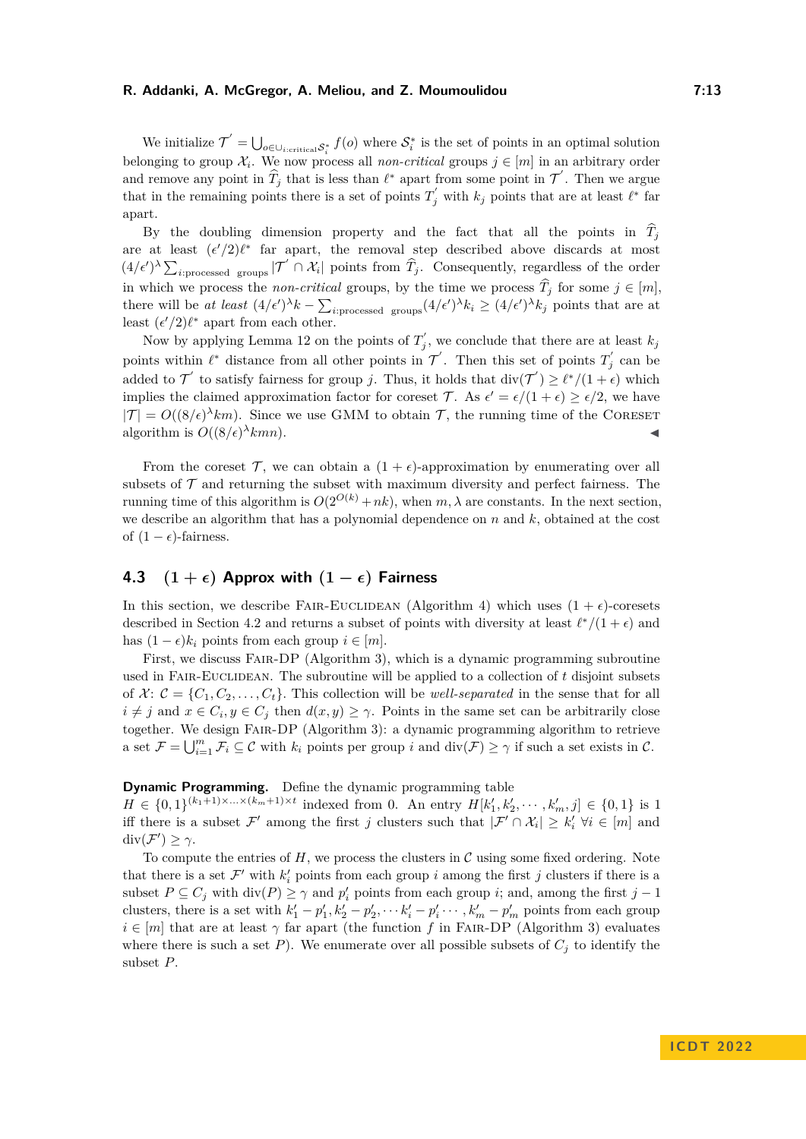We initialize  $\mathcal{T}' = \bigcup_{o \in \bigcup_{i:\text{critical} \mathcal{S}_i^*}} f(o)$  where  $\mathcal{S}_i^*$  is the set of points in an optimal solution belonging to group  $\mathcal{X}_i$ . We now process all *non-critical* groups  $j \in [m]$  in an arbitrary order and remove any point in  $\widehat{T}_j$  that is less than  $\ell^*$  apart from some point in  $\mathcal{T}'$ . Then we argue that in the remaining points there is a set of points  $T'_{j}$  with  $k_{j}$  points that are at least  $\ell^*$  far apart.

By the doubling dimension property and the fact that all the points in  $\hat{T}_i$ are at least  $(\epsilon'/2)\ell^*$  far apart, the removal step described above discards at most  $(4/\epsilon')^{\lambda} \sum_{i:\text{processed groups}} |\mathcal{T}' \cap \mathcal{X}_i|$  points from  $\hat{T}_j$ . Consequently, regardless of the order in which we process the *non-critical* groups, by the time we process  $\hat{T}_j$  for some  $j \in [m]$ , there will be *at least*  $(4/\epsilon')^{\lambda}k - \sum_{i:\text{processed groups}} (4/\epsilon')^{\lambda}k_i \geq (4/\epsilon')^{\lambda}k_j$  points that are at least  $(\epsilon'/2)\ell^*$  apart from each other.

Now by applying Lemma [12](#page-11-0) on the points of  $T'_{j}$ , we conclude that there are at least  $k_{j}$ points within  $\ell^*$  distance from all other points in  $\mathcal{T}'$ . Then this set of points  $T'_j$  can be added to  $\mathcal{T}'$  to satisfy fairness for group *j*. Thus, it holds that  $\text{div}(\mathcal{T}') \geq \ell^*/(1+\epsilon)$  which implies the claimed approximation factor for coreset T. As  $\epsilon' = \epsilon/(1+\epsilon) \geq \epsilon/2$ , we have  $|\mathcal{T}| = O((8/\epsilon)^{\lambda}km)$ . Since we use GMM to obtain T, the running time of the CORESET algorithm is  $O((8/\epsilon)^\lambda kmn)$ .  $\lambda$ *kmn*).

From the coreset  $\mathcal{T}$ , we can obtain a  $(1 + \epsilon)$ -approximation by enumerating over all subsets of  $\mathcal T$  and returning the subset with maximum diversity and perfect fairness. The running time of this algorithm is  $O(2^{O(k)} + nk)$ , when  $m, \lambda$  are constants. In the next section, we describe an algorithm that has a polynomial dependence on *n* and *k*, obtained at the cost of  $(1 - \epsilon)$ -fairness.

# <span id="page-12-0"></span>**4.3**  $(1 + \epsilon)$  **Approx with**  $(1 - \epsilon)$  **Fairness**

In this section, we describe FAIR-EUCLIDEAN (Algorithm [4\)](#page-14-0) which uses  $(1 + \epsilon)$ -coresets described in Section [4.2](#page-10-1) and returns a subset of points with diversity at least  $\ell^*/(1+\epsilon)$  and has  $(1 - \epsilon)k_i$  points from each group  $i \in [m]$ .

First, we discuss Fair-DP (Algorithm [3\)](#page-13-0), which is a dynamic programming subroutine used in Fair-Euclidean. The subroutine will be applied to a collection of *t* disjoint subsets of  $X: \mathcal{C} = \{C_1, C_2, \ldots, C_t\}$ . This collection will be *well-separated* in the sense that for all  $i \neq j$  and  $x \in C_i, y \in C_j$  then  $d(x, y) \geq \gamma$ . Points in the same set can be arbitrarily close together. We design Fair-DP (Algorithm [3\)](#page-13-0): a dynamic programming algorithm to retrieve a set  $\mathcal{F} = \bigcup_{i=1}^m \mathcal{F}_i \subseteq \mathcal{C}$  with  $k_i$  points per group *i* and  $\text{div}(\mathcal{F}) \geq \gamma$  if such a set exists in  $\mathcal{C}$ .

# **Dynamic Programming.** Define the dynamic programming table

 $H \in \{0,1\}^{(k_1+1)\times\ldots\times(k_m+1)\times t}$  indexed from 0. An entry  $H[k'_1, k'_2, \cdots, k'_m, j] \in \{0,1\}$  is 1 iff there is a subset  $\mathcal{F}'$  among the first *j* clusters such that  $|\mathcal{F}' \cap \mathcal{X}_i| \geq k'_i \ \forall i \in [m]$  and div $(\mathcal{F}') \geq \gamma$ .

To compute the entries of  $H$ , we process the clusters in  $\mathcal C$  using some fixed ordering. Note that there is a set  $\mathcal{F}'$  with  $k_i'$  points from each group *i* among the first *j* clusters if there is a subset  $P \subseteq C_j$  with  $\text{div}(P) \ge \gamma$  and  $p'_i$  points from each group *i*; and, among the first  $j - 1$ clusters, there is a set with  $k'_1 - p'_1, k'_2 - p'_2, \cdots k'_i - p'_i \cdots, k'_m - p'_m$  points from each group  $i \in [m]$  that are at least  $\gamma$  far apart (the function *f* in FAIR-DP (Algorithm [3\)](#page-13-0) evaluates where there is such a set  $P$ ). We enumerate over all possible subsets of  $C_i$  to identify the subset *P*.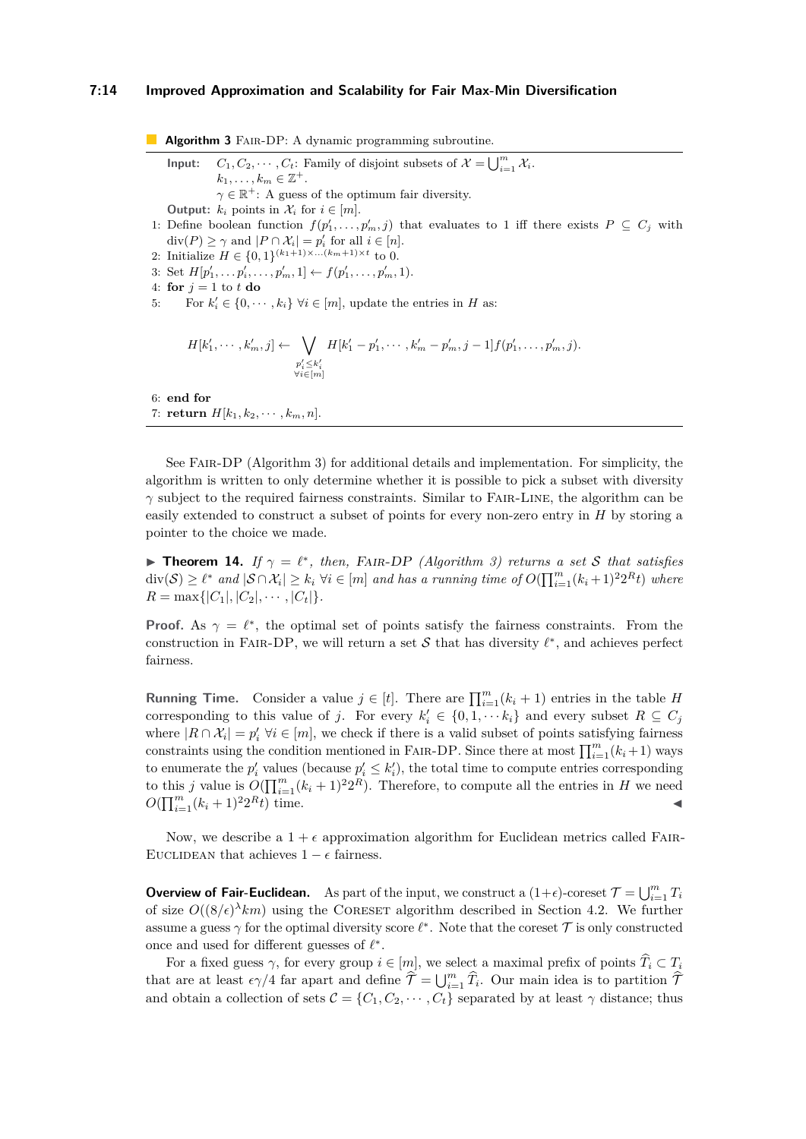#### **7:14 Improved Approximation and Scalability for Fair Max-Min Diversification**

<span id="page-13-0"></span>**Algorithm 3** FAIR-DP: A dynamic programming subroutine. **Input:**  $C_1, C_2, \cdots, C_t$ : Family of disjoint subsets of  $\mathcal{X} = \bigcup_{i=1}^m \mathcal{X}_i$ .  $k_1, \ldots, k_m \in \mathbb{Z}^+$ .  $\gamma \in \mathbb{R}^+$ : A guess of the optimum fair diversity. **Output:**  $k_i$  points in  $\mathcal{X}_i$  for  $i \in [m]$ . 1: Define boolean function  $f(p'_1, \ldots, p'_m, j)$  that evaluates to 1 iff there exists  $P \subseteq C_j$  with  $\text{div}(P) \ge \gamma \text{ and } |P \cap \mathcal{X}_i| = p'_i \text{ for all } i \in [n].$ 2: Initialize  $H \in \{0,1\}^{(k_1+1)\times...,(k_m+1)\times t}$  to 0. 3: Set  $H[p'_1, \ldots, p'_i, \ldots, p'_m, 1] \leftarrow f(p'_1, \ldots, p'_m, 1).$ 4: **for**  $j = 1$  to  $t$  **do** 5: For  $k'_i \in \{0, \dots, k_i\} \ \forall i \in [m]$ , update the entries in *H* as:  $H[k'_1, \cdots, k'_m, j] \leftarrow \bigvee$  $p_i' \leq k_i'$ <br>  $\forall i \in [m]$  $H[k'_1 - p'_1, \cdots, k'_m - p'_m, j - 1]f(p'_1, \ldots, p'_m, j).$ 6: **end for** 7: **return**  $H[k_1, k_2, \cdots, k_m, n]$ .

See Fair-DP (Algorithm [3\)](#page-13-0) for additional details and implementation. For simplicity, the algorithm is written to only determine whether it is possible to pick a subset with diversity *γ* subject to the required fairness constraints. Similar to FAIR-LINE, the algorithm can be easily extended to construct a subset of points for every non-zero entry in *H* by storing a pointer to the choice we made.

<span id="page-13-1"></span>**• Theorem 14.** *If*  $\gamma = \ell^*$ , *then,* FAIR-DP *(Algorithm [3\)](#page-13-0) returns a set* S *that satisfies*  $\text{div}(\mathcal{S}) \geq \ell^*$  and  $|\mathcal{S} \cap \mathcal{X}_i| \geq k_i \ \forall i \in [m]$  and has a running time of  $O(\prod_{i=1}^m (k_i+1)^2 2^R t)$  where  $R = \max\{|C_1|, |C_2|, \cdots, |C_t|\}.$ 

**Proof.** As  $\gamma = \ell^*$ , the optimal set of points satisfy the fairness constraints. From the construction in FAIR-DP, we will return a set  $S$  that has diversity  $\ell^*$ , and achieves perfect fairness.

**Running Time.** Consider a value  $j \in [t]$ . There are  $\prod_{i=1}^{m} (k_i + 1)$  entries in the table *H* corresponding to this value of *j*. For every  $k'_i \in \{0, 1, \dots k_i\}$  and every subset  $R \subseteq C_j$ where  $|R \cap \mathcal{X}_i| = p'_i \; \forall i \in [m]$ , we check if there is a valid subset of points satisfying fairness constraints using the condition mentioned in FAIR-DP. Since there at most  $\prod_{i=1}^{m} (k_i + 1)$  ways to enumerate the  $p'_i$  values (because  $p'_i \leq k'_i$ ), the total time to compute entries corresponding to this *j* value is  $O(\prod_{i=1}^{m} (k_i + 1)^2 2^R)$ . Therefore, to compute all the entries in *H* we need  $O(\prod_{i=1}^{m}(k_i+1)^2)$  $R_t$ ) time.

Now, we describe a  $1 + \epsilon$  approximation algorithm for Euclidean metrics called FAIR-EUCLIDEAN that achieves  $1 - \epsilon$  fairness.

**Overview of Fair-Euclidean.** As part of the input, we construct a  $(1+\epsilon)$ -coreset  $\mathcal{T} = \bigcup_{i=1}^m T_i$ of size  $O((8/\epsilon)^\lambda km)$  using the CORESET algorithm described in Section [4.2.](#page-10-1) We further assume a guess  $\gamma$  for the optimal diversity score  $\ell^*$ . Note that the coreset  $\mathcal T$  is only constructed once and used for different guesses of *ℓ* ∗ .

For a fixed guess  $\gamma$ , for every group  $i \in [m]$ , we select a maximal prefix of points  $\widehat{T}_i \subset T_i$ that are at least  $\epsilon \gamma/4$  far apart and define  $\hat{\mathcal{T}} = \bigcup_{i=1}^m \hat{T}_i$ . Our main idea is to partition  $\hat{\mathcal{T}}$ and obtain a collection of sets  $\mathcal{C} = \{C_1, C_2, \cdots, C_t\}$  separated by at least  $\gamma$  distance; thus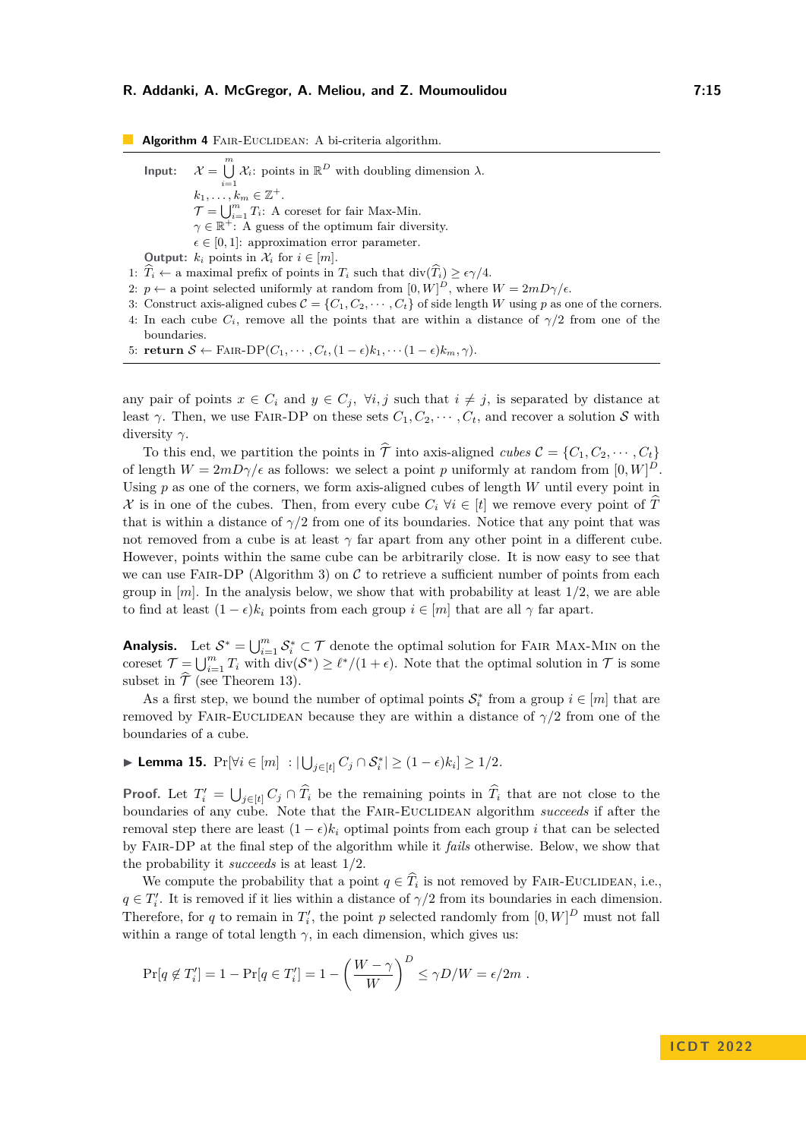<span id="page-14-0"></span>**Algorithm 4** FAIR-EUCLIDEAN: A bi-criteria algorithm. **Input:**  $\mathcal{X} = \bigcup_{i=1}^{m} \mathcal{X}_i$ : points in  $\mathbb{R}^D$  with doubling dimension  $\lambda$ .  $k_1, \ldots, k_m \in \mathbb{Z}^+$ .  $\mathcal{T} = \bigcup_{i=1}^{m} T_i$ : A coreset for fair Max-Min.  $\gamma \in \mathbb{R}^+$ : A guess of the optimum fair diversity.  $\epsilon \in [0,1]$ : approximation error parameter. **Output:**  $k_i$  points in  $\mathcal{X}_i$  for  $i \in [m]$ . 1:  $\widehat{T}_i \leftarrow$  a maximal prefix of points in  $T_i$  such that div( $\widehat{T}_i$ )  $\geq \epsilon \gamma/4$ . 2:  $p \leftarrow$  a point selected uniformly at random from  $[0, W]^D$ , where  $W = 2mD\gamma/\epsilon$ . 3: Construct axis-aligned cubes  $C = \{C_1, C_2, \cdots, C_t\}$  of side length *W* using *p* as one of the corners. 4: In each cube  $C_i$ , remove all the points that are within a distance of  $\gamma/2$  from one of the boundaries.

5: **return**  $S \leftarrow \text{FAIR-DP}(C_1, \cdots, C_t, (1-\epsilon)k_1, \cdots (1-\epsilon)k_m, \gamma).$ 

any pair of points  $x \in C_i$  and  $y \in C_j$ ,  $\forall i, j$  such that  $i \neq j$ , is separated by distance at least  $\gamma$ . Then, we use FAIR-DP on these sets  $C_1, C_2, \cdots, C_t$ , and recover a solution S with diversity *γ*.

To this end, we partition the points in  $\hat{\mathcal{T}}$  into axis-aligned *cubes*  $\mathcal{C} = \{C_1, C_2, \dots, C_t\}$ of length  $W = 2mD\gamma/\epsilon$  as follows: we select a point *p* uniformly at random from  $[0, W]^D$ . Using *p* as one of the corners, we form axis-aligned cubes of length *W* until every point in X is in one of the cubes. Then, from every cube  $C_i \forall i \in [t]$  we remove every point of  $\overline{T}$ that is within a distance of  $\gamma/2$  from one of its boundaries. Notice that any point that was not removed from a cube is at least  $\gamma$  far apart from any other point in a different cube. However, points within the same cube can be arbitrarily close. It is now easy to see that we can use FAIR-DP (Algorithm [3\)](#page-13-0) on  $\mathcal C$  to retrieve a sufficient number of points from each group in [*m*]. In the analysis below, we show that with probability at least 1*/*2, we are able to find at least  $(1 - \epsilon)k_i$  points from each group  $i \in [m]$  that are all  $\gamma$  far apart.

**Analysis.** Let  $S^* = \bigcup_{i=1}^m S_i^* \subset T$  denote the optimal solution for FAIR MAX-MIN on the coreset  $\mathcal{T} = \bigcup_{i=1}^m T_i$  with  $\text{div}(\mathcal{S}^*) \geq \ell^*/(1+\epsilon)$ . Note that the optimal solution in  $\mathcal T$  is some subset in  $\hat{\mathcal{T}}$  (see Theorem [13\)](#page-11-1).

As a first step, we bound the number of optimal points  $\mathcal{S}_i^*$  from a group  $i \in [m]$  that are removed by FAIR-EUCLIDEAN because they are within a distance of  $\gamma/2$  from one of the boundaries of a cube.

 $\blacktriangleright$  **Lemma 15.** Pr[∀*i* ∈ [*m*] :  $|\bigcup_{j \in [t]} C_j \cap S_i^*| \geq (1 - \epsilon)k_i] \geq 1/2$ *.* 

**Proof.** Let  $T'_{i} = \bigcup_{j \in [t]} C_j \cap \widehat{T}_i$  be the remaining points in  $\widehat{T}_i$  that are not close to the boundaries of any cube. Note that the FAIR-EUCLIDEAN algorithm *succeeds* if after the removal step there are least  $(1 - \epsilon)k_i$  optimal points from each group *i* that can be selected by Fair-DP at the final step of the algorithm while it *fails* otherwise. Below, we show that the probability it *succeeds* is at least 1*/*2.

We compute the probability that a point  $q \in \hat{T}_i$  is not removed by FAIR-EUCLIDEAN, i.e.,  $q \in T_i'$ . It is removed if it lies within a distance of  $\gamma/2$  from its boundaries in each dimension. Therefore, for *q* to remain in  $T_i'$ , the point *p* selected randomly from  $[0, W]^D$  must not fall within a range of total length  $\gamma$ , in each dimension, which gives us:

$$
\Pr[q \notin T'_i] = 1 - \Pr[q \in T'_i] = 1 - \left(\frac{W - \gamma}{W}\right)^D \le \gamma D/W = \epsilon/2m.
$$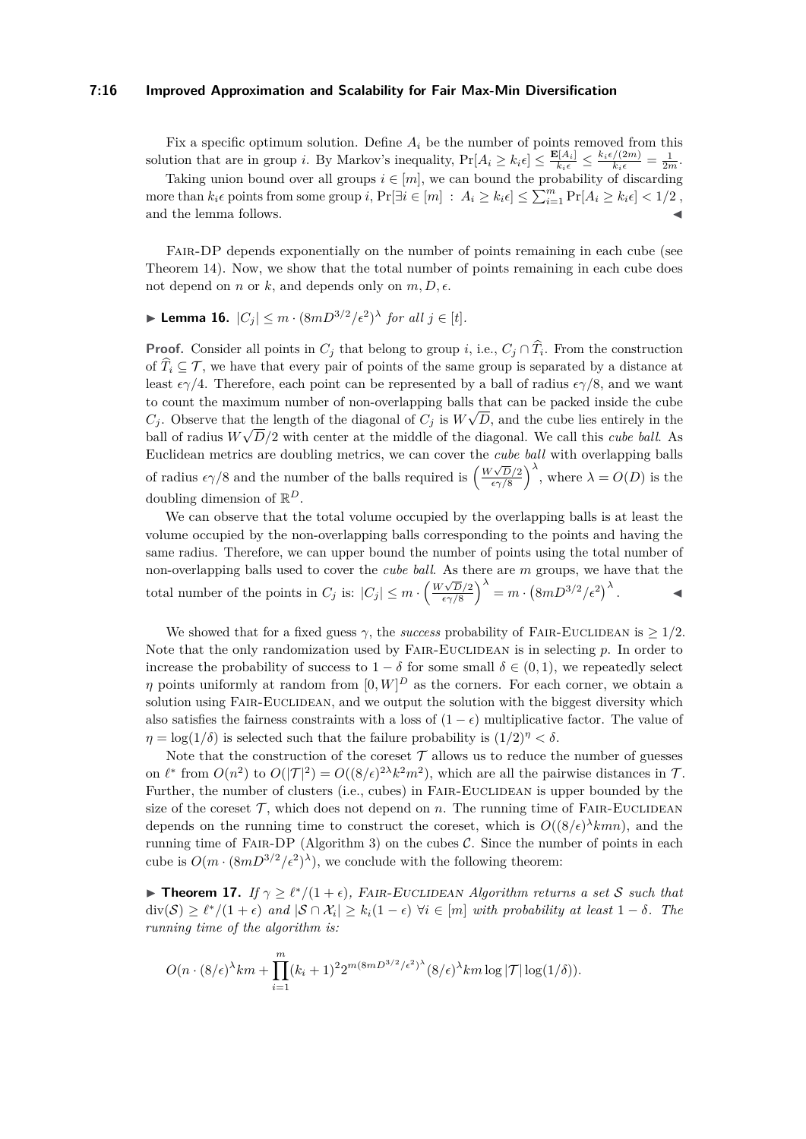#### **7:16 Improved Approximation and Scalability for Fair Max-Min Diversification**

Fix a specific optimum solution. Define  $A_i$  be the number of points removed from this solution that are in group *i*. By Markov's inequality,  $Pr[A_i \ge k_i \epsilon] \le \frac{\mathbf{E}[A_i]}{k_i \epsilon} \le \frac{k_i \epsilon/(2m)}{k_i \epsilon} = \frac{1}{2m}$ .

Taking union bound over all groups  $i \in [m]$ , we can bound the probability of discarding more than  $k_i \epsilon$  points from some group  $i$ ,  $Pr[\exists i \in [m] : A_i \ge k_i \epsilon] \le \sum_{i=1}^m Pr[A_i \ge k_i \epsilon] < 1/2$ , and the lemma follows.

FAIR-DP depends exponentially on the number of points remaining in each cube (see Theorem [14\)](#page-13-1). Now, we show that the total number of points remaining in each cube does not depend on *n* or *k*, and depends only on  $m, D, \epsilon$ .

# <span id="page-15-0"></span>▶ Lemma 16.  $|C_j|$   $\leq m \cdot (8mD^{3/2}/\epsilon^2)$ <sup> $\lambda$ </sup> for all  $j \in [t]$ *.*

**Proof.** Consider all points in  $C_j$  that belong to group *i*, i.e.,  $C_j \cap T_i$ . From the construction of  $\widehat{T}_i \subseteq \mathcal{T}$ , we have that every pair of points of the same group is separated by a distance at least  $\epsilon \gamma/4$ . Therefore, each point can be represented by a ball of radius  $\epsilon \gamma/8$ , and we want to count the maximum number of non-overlapping balls that can be packed inside the cube  $C_j$ . Observe that the length of the diagonal of  $C_j$  is  $W \sqrt{D}$ , and the cube lies entirely in the ball of radius  $W\sqrt{D/2}$  with center at the middle of the diagonal. We call this *cube ball*. As Euclidean metrics are doubling metrics, we can cover the *cube ball* with overlapping balls of radius  $\epsilon \gamma/8$  and the number of the balls required is  $\left(\frac{W\sqrt{D}/2}{\epsilon \gamma/8}\right)$  $\left(\frac{\sqrt{D}/2}{\epsilon \gamma/8}\right)^{\lambda}$ , where  $\lambda = O(D)$  is the doubling dimension of R *D*.

We can observe that the total volume occupied by the overlapping balls is at least the volume occupied by the non-overlapping balls corresponding to the points and having the same radius. Therefore, we can upper bound the number of points using the total number of non-overlapping balls used to cover the *cube ball*. As there are *m* groups, we have that the total number of the points in  $C_j$  is:  $|C_j| \leq m \cdot \left(\frac{W\sqrt{D}/2}{\epsilon \sqrt{8}}\right)$  $\left(\frac{\sqrt{D}/2}{\epsilon\gamma/8}\right)^{\lambda} = m \cdot \left(8mD^{3/2}/\epsilon^2\right)^{\lambda}.$ 

We showed that for a fixed guess  $\gamma$ , the *success* probability of FAIR-EUCLIDEAN is  $\geq 1/2$ . Note that the only randomization used by FAIR-EUCLIDEAN is in selecting p. In order to increase the probability of success to  $1 - \delta$  for some small  $\delta \in (0, 1)$ , we repeatedly select *η* points uniformly at random from  $[0, W]^D$  as the corners. For each corner, we obtain a solution using FAIR-EUCLIDEAN, and we output the solution with the biggest diversity which also satisfies the fairness constraints with a loss of  $(1 - \epsilon)$  multiplicative factor. The value of *η* = log(1/ $\delta$ ) is selected such that the failure probability is  $(1/2)^{\eta} < \delta$ .

Note that the construction of the coreset  $\mathcal T$  allows us to reduce the number of guesses on  $\ell^*$  from  $O(n^2)$  to  $O(|\mathcal{T}|^2) = O((8/\epsilon)^{2\lambda} k^2 m^2)$ , which are all the pairwise distances in  $\mathcal{T}$ . Further, the number of clusters (i.e., cubes) in FAIR-EUCLIDEAN is upper bounded by the size of the coreset  $\mathcal{T}$ , which does not depend on  $n$ . The running time of FAIR-EUCLIDEAN depends on the running time to construct the coreset, which is  $O((8/\epsilon)^{\lambda}kmn)$ , and the running time of FAIR-DP (Algorithm [3\)](#page-13-0) on the cubes  $C$ . Since the number of points in each cube is  $O(m \cdot (8mD^{3/2}/\epsilon^2)^{\lambda})$ , we conclude with the following theorem:

 $▶$  **Theorem 17.** *If*  $γ ≥ l<sup>*</sup>/(1 + ε)$ *,* FAIR-EUCLIDEAN Algorithm returns a set S such that  $\text{div}(\mathcal{S}) \geq \ell^*/(1+\epsilon)$  and  $|\mathcal{S} \cap \mathcal{X}_i| \geq k_i(1-\epsilon)$   $\forall i \in [m]$  with probability at least  $1-\delta$ *. The running time of the algorithm is:*

$$
O(n \cdot (8/\epsilon)^{\lambda} km + \prod_{i=1}^{m} (k_i+1)^2 2^{m(8mD^{3/2}/\epsilon^2)^{\lambda}} (8/\epsilon)^{\lambda} km \log |\mathcal{T}| \log(1/\delta)).
$$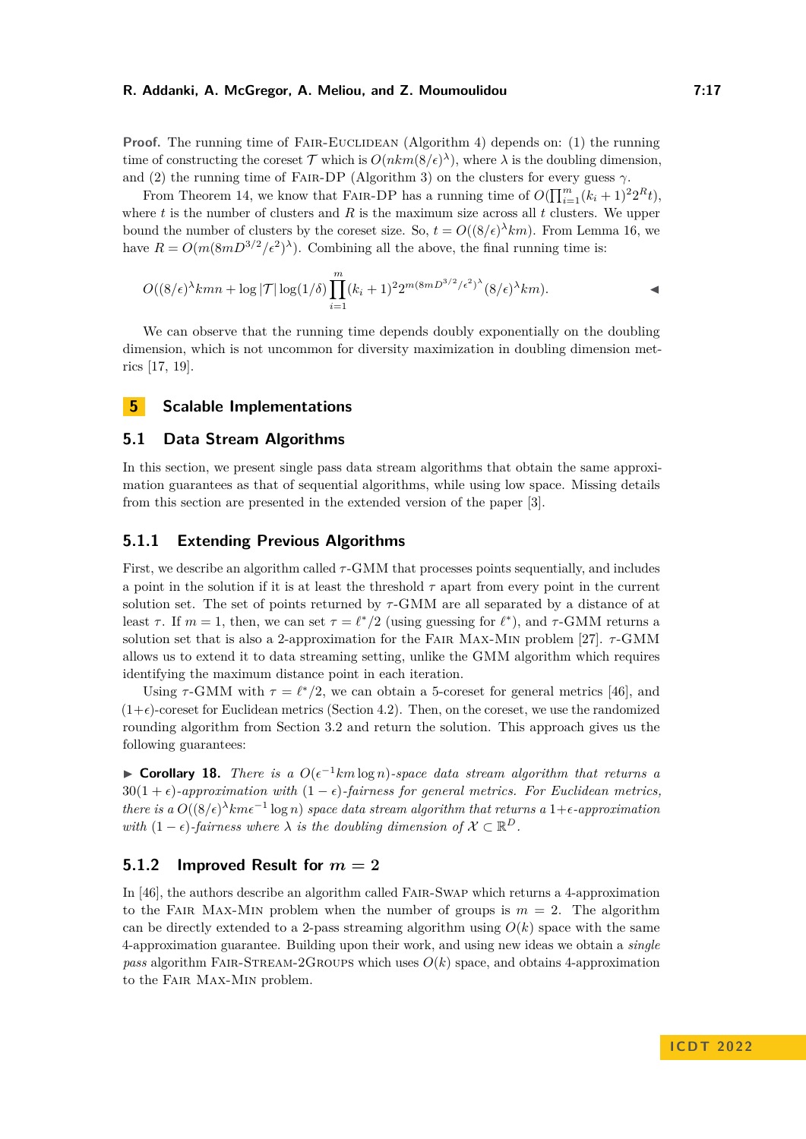**Proof.** The running time of FAIR-EUCLIDEAN (Algorithm [4\)](#page-14-0) depends on: (1) the running time of constructing the coreset  $\mathcal T$  which is  $O(nkm(8/\epsilon)^{\lambda})$ , where  $\lambda$  is the doubling dimension, and (2) the running time of Fair-DP (Algorithm [3\)](#page-13-0) on the clusters for every guess *γ*.

From Theorem [14,](#page-13-1) we know that FAIR-DP has a running time of  $O(\prod_{i=1}^{m} (k_i + 1)^2 2^R t)$ , where *t* is the number of clusters and *R* is the maximum size across all *t* clusters. We upper bound the number of clusters by the coreset size. So,  $t = O((8/\epsilon)^{\lambda}km)$ . From Lemma [16,](#page-15-0) we have  $R = O(m(8mD^{3/2}/\epsilon^2)^{\lambda})$ . Combining all the above, the final running time is:

$$
O((8/\epsilon)^{\lambda}kmn + \log |\mathcal{T}| \log(1/\delta) \prod_{i=1}^{m} (k_i+1)^2 2^{m(8mD^{3/2}/\epsilon^2)^{\lambda}} (8/\epsilon)^{\lambda} km).
$$

We can observe that the running time depends doubly exponentially on the doubling dimension, which is not uncommon for diversity maximization in doubling dimension metrics [\[17,](#page-18-12) [19\]](#page-18-9).

# **5 Scalable Implementations**

## <span id="page-16-0"></span>**5.1 Data Stream Algorithms**

In this section, we present single pass data stream algorithms that obtain the same approximation guarantees as that of sequential algorithms, while using low space. Missing details from this section are presented in the extended version of the paper [\[3\]](#page-18-17).

## **5.1.1 Extending Previous Algorithms**

First, we describe an algorithm called *τ* -GMM that processes points sequentially, and includes a point in the solution if it is at least the threshold  $\tau$  apart from every point in the current solution set. The set of points returned by *τ* -GMM are all separated by a distance of at least  $\tau$ . If  $m = 1$ , then, we can set  $\tau = \ell^*/2$  (using guessing for  $\ell^*$ ), and  $\tau$ -GMM returns a solution set that is also a 2-approximation for the Fair Max-Min problem [\[27\]](#page-19-23). *τ* -GMM allows us to extend it to data streaming setting, unlike the GMM algorithm which requires identifying the maximum distance point in each iteration.

Using  $\tau$ -GMM with  $\tau = \ell^*/2$ , we can obtain a 5-coreset for general metrics [\[46\]](#page-20-4), and  $(1+\epsilon)$ -coreset for Euclidean metrics (Section [4.2\)](#page-10-1). Then, on the coreset, we use the randomized rounding algorithm from Section [3.2](#page-5-0) and return the solution. This approach gives us the following guarantees:

▶ **Corollary 18.** *There is a*  $O(\epsilon^{-1}km \log n)$ *-space data stream algorithm that returns a* 30(1 +  $\epsilon$ )*-approximation with* (1 –  $\epsilon$ )*-fairness for general metrics. For Euclidean metrics, there is a*  $O((8/\epsilon)^{\lambda}km\epsilon^{-1}\log n)$  *space data stream algorithm that returns a* 1+ $\epsilon$ -approximation *with*  $(1 - \epsilon)$ -fairness where  $\lambda$  *is the doubling dimension of*  $\mathcal{X} \subset \mathbb{R}^D$ .

## **5.1.2 Improved Result for** *m* **= 2**

In [\[46\]](#page-20-4), the authors describe an algorithm called Fair-Swap which returns a 4-approximation to the FAIR MAX-MIN problem when the number of groups is  $m = 2$ . The algorithm can be directly extended to a 2-pass streaming algorithm using  $O(k)$  space with the same 4-approximation guarantee. Building upon their work, and using new ideas we obtain a *single pass* algorithm FAIR-STREAM-2GROUPS which uses  $O(k)$  space, and obtains 4-approximation to the Fair Max-Min problem.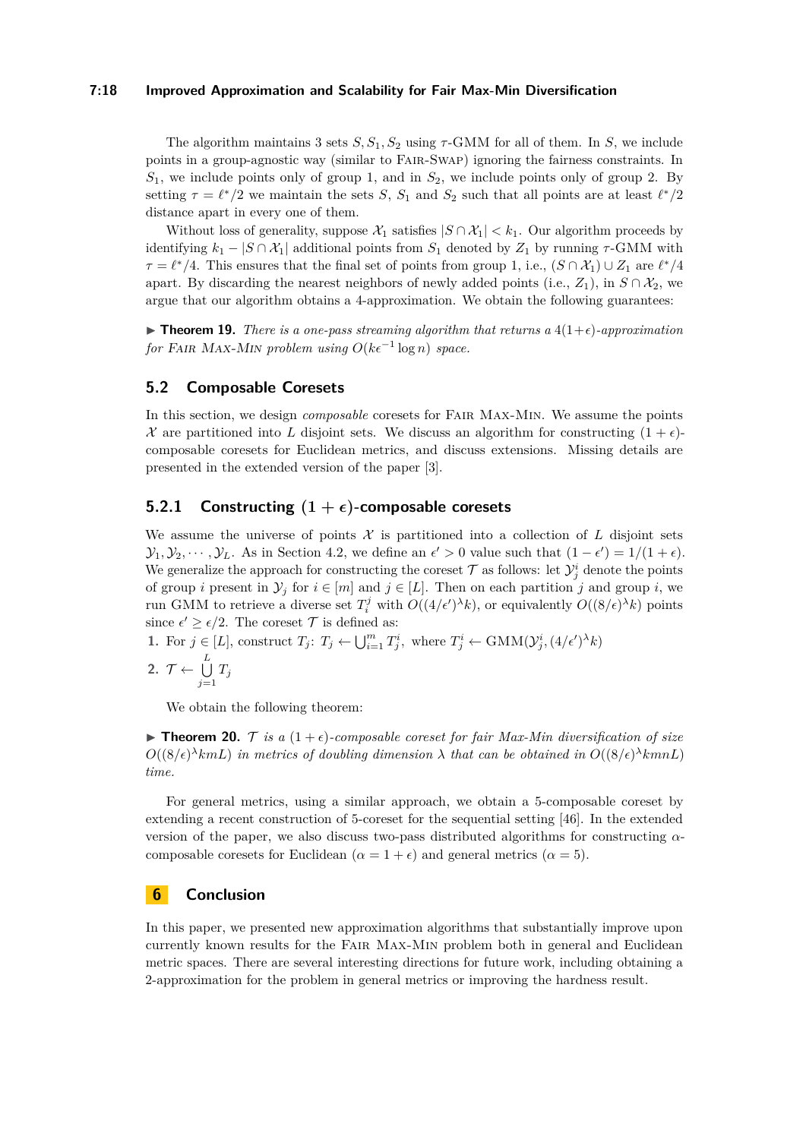#### **7:18 Improved Approximation and Scalability for Fair Max-Min Diversification**

The algorithm maintains 3 sets  $S, S_1, S_2$  using  $\tau$ -GMM for all of them. In *S*, we include points in a group-agnostic way (similar to Fair-Swap) ignoring the fairness constraints. In *S*1, we include points only of group 1, and in *S*2, we include points only of group 2. By setting  $\tau = \ell^*/2$  we maintain the sets *S*,  $S_1$  and  $S_2$  such that all points are at least  $\ell^*/2$ distance apart in every one of them.

Without loss of generality, suppose  $\mathcal{X}_1$  satisfies  $|S \cap \mathcal{X}_1| < k_1$ . Our algorithm proceeds by identifying  $k_1 - |S \cap \mathcal{X}_1|$  additional points from  $S_1$  denoted by  $Z_1$  by running  $\tau$ -GMM with  $\tau = \ell^*/4$ . This ensures that the final set of points from group 1, i.e.,  $(S \cap \mathcal{X}_1) \cup Z_1$  are  $\ell^*/4$ apart. By discarding the nearest neighbors of newly added points (i.e.,  $Z_1$ ), in  $S \cap X_2$ , we argue that our algorithm obtains a 4-approximation. We obtain the following guarantees:

▶ **Theorem 19.** *There is a one-pass streaming algorithm that returns a*  $4(1+\epsilon)$ *-approximation for* FAIR MAX-MIN problem using  $O(k\epsilon^{-1} \log n)$  space.

#### <span id="page-17-0"></span>**5.2 Composable Coresets**

In this section, we design *composable* coresets for Fair Max-Min. We assume the points X are partitioned into L disjoint sets. We discuss an algorithm for constructing  $(1 + \epsilon)$ composable coresets for Euclidean metrics, and discuss extensions. Missing details are presented in the extended version of the paper [\[3\]](#page-18-17).

## **5.2.1 Constructing**  $(1 + \epsilon)$ -composable coresets

We assume the universe of points  $\mathcal X$  is partitioned into a collection of  $L$  disjoint sets  $\mathcal{Y}_1, \mathcal{Y}_2, \cdots, \mathcal{Y}_L$ . As in Section [4.2,](#page-10-1) we define an  $\epsilon' > 0$  value such that  $(1 - \epsilon') = 1/(1 + \epsilon)$ . We generalize the approach for constructing the coreset  $\mathcal{T}$  as follows: let  $\mathcal{Y}_j^i$  denote the points of group *i* present in  $\mathcal{Y}_j$  for  $i \in [m]$  and  $j \in [L]$ . Then on each partition *j* and group *i*, we run GMM to retrieve a diverse set  $T_i^j$  with  $O((4/\epsilon')^{\lambda}k)$ , or equivalently  $O((8/\epsilon)^{\lambda}k)$  points since  $\epsilon' \geq \epsilon/2$ . The coreset  $\mathcal T$  is defined as:

1. For  $j \in [L]$ , construct  $T_j: T_j \leftarrow \bigcup_{i=1}^m T_j^i$ , where  $T_j^i \leftarrow \text{GMM}(\mathcal{Y}_j^i, (4/\epsilon')^{\lambda} k)$ 2.  $\mathcal{T} \leftarrow \bigcup^{L}$  $\bigcup_{j=1}$   $T_j$ 

We obtain the following theorem:

**Figure 10.** T is a  $(1+\epsilon)$ -composable coreset for fair Max-Min diversification of size  $O((8/\epsilon)^{\lambda}kmL)$  *in metrics of doubling dimension*  $\lambda$  *that can be obtained in*  $O((8/\epsilon)^{\lambda}kmnL)$ *time.*

For general metrics, using a similar approach, we obtain a 5-composable coreset by extending a recent construction of 5-coreset for the sequential setting [\[46\]](#page-20-4). In the extended version of the paper, we also discuss two-pass distributed algorithms for constructing *α*composable coresets for Euclidean ( $\alpha = 1 + \epsilon$ ) and general metrics ( $\alpha = 5$ ).

## **6 Conclusion**

In this paper, we presented new approximation algorithms that substantially improve upon currently known results for the Fair Max-Min problem both in general and Euclidean metric spaces. There are several interesting directions for future work, including obtaining a 2-approximation for the problem in general metrics or improving the hardness result.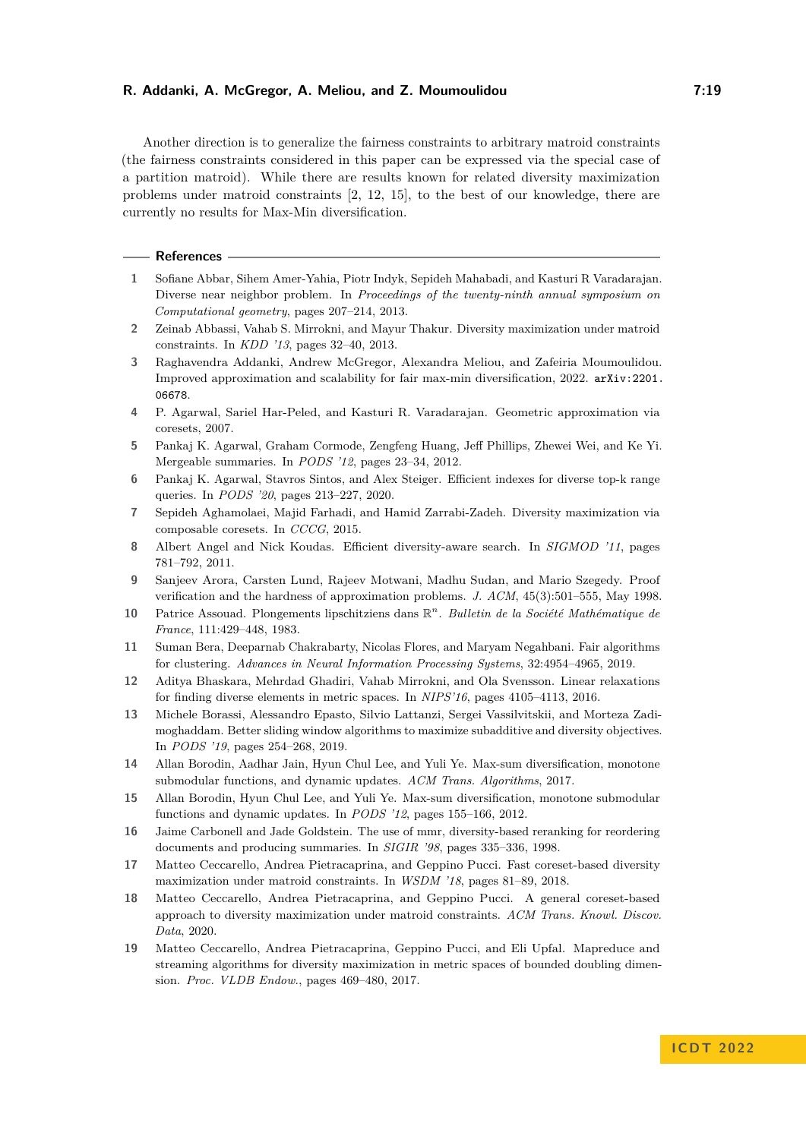Another direction is to generalize the fairness constraints to arbitrary matroid constraints (the fairness constraints considered in this paper can be expressed via the special case of a partition matroid). While there are results known for related diversity maximization problems under matroid constraints [\[2,](#page-18-3) [12,](#page-18-6) [15\]](#page-18-4), to the best of our knowledge, there are currently no results for Max-Min diversification.

#### **References**

- <span id="page-18-1"></span>**1** Sofiane Abbar, Sihem Amer-Yahia, Piotr Indyk, Sepideh Mahabadi, and Kasturi R Varadarajan. Diverse near neighbor problem. In *Proceedings of the twenty-ninth annual symposium on Computational geometry*, pages 207–214, 2013.
- <span id="page-18-3"></span>**2** Zeinab Abbassi, Vahab S. Mirrokni, and Mayur Thakur. Diversity maximization under matroid constraints. In *KDD '13*, pages 32–40, 2013.
- <span id="page-18-17"></span>**3** Raghavendra Addanki, Andrew McGregor, Alexandra Meliou, and Zafeiria Moumoulidou. Improved approximation and scalability for fair max-min diversification, 2022. [arXiv:2201.](http://arxiv.org/abs/2201.06678) [06678](http://arxiv.org/abs/2201.06678).
- <span id="page-18-15"></span>**4** P. Agarwal, Sariel Har-Peled, and Kasturi R. Varadarajan. Geometric approximation via coresets, 2007.
- <span id="page-18-16"></span>**5** Pankaj K. Agarwal, Graham Cormode, Zengfeng Huang, Jeff Phillips, Zhewei Wei, and Ke Yi. Mergeable summaries. In *PODS '12*, pages 23–34, 2012.
- <span id="page-18-0"></span>**6** Pankaj K. Agarwal, Stavros Sintos, and Alex Steiger. Efficient indexes for diverse top-k range queries. In *PODS '20*, pages 213–227, 2020.
- <span id="page-18-7"></span>**7** Sepideh Aghamolaei, Majid Farhadi, and Hamid Zarrabi-Zadeh. Diversity maximization via composable coresets. In *CCCG*, 2015.
- <span id="page-18-2"></span>**8** Albert Angel and Nick Koudas. Efficient diversity-aware search. In *SIGMOD '11*, pages 781–792, 2011.
- <span id="page-18-18"></span>**9** Sanjeev Arora, Carsten Lund, Rajeev Motwani, Madhu Sudan, and Mario Szegedy. Proof verification and the hardness of approximation problems. *J. ACM*, 45(3):501–555, May 1998.
- <span id="page-18-14"></span>**10** Patrice Assouad. Plongements lipschitziens dans R *n* . *Bulletin de la Société Mathématique de France*, 111:429–448, 1983.
- <span id="page-18-11"></span>**11** Suman Bera, Deeparnab Chakrabarty, Nicolas Flores, and Maryam Negahbani. Fair algorithms for clustering. *Advances in Neural Information Processing Systems*, 32:4954–4965, 2019.
- <span id="page-18-6"></span>**12** Aditya Bhaskara, Mehrdad Ghadiri, Vahab Mirrokni, and Ola Svensson. Linear relaxations for finding diverse elements in metric spaces. In *NIPS'16*, pages 4105–4113, 2016.
- <span id="page-18-8"></span>**13** Michele Borassi, Alessandro Epasto, Silvio Lattanzi, Sergei Vassilvitskii, and Morteza Zadimoghaddam. Better sliding window algorithms to maximize subadditive and diversity objectives. In *PODS '19*, pages 254–268, 2019.
- <span id="page-18-10"></span>**14** Allan Borodin, Aadhar Jain, Hyun Chul Lee, and Yuli Ye. Max-sum diversification, monotone submodular functions, and dynamic updates. *ACM Trans. Algorithms*, 2017.
- <span id="page-18-4"></span>**15** Allan Borodin, Hyun Chul Lee, and Yuli Ye. Max-sum diversification, monotone submodular functions and dynamic updates. In *PODS '12*, pages 155–166, 2012.
- <span id="page-18-5"></span>**16** Jaime Carbonell and Jade Goldstein. The use of mmr, diversity-based reranking for reordering documents and producing summaries. In *SIGIR '98*, pages 335–336, 1998.
- <span id="page-18-12"></span>**17** Matteo Ceccarello, Andrea Pietracaprina, and Geppino Pucci. Fast coreset-based diversity maximization under matroid constraints. In *WSDM '18*, pages 81–89, 2018.
- <span id="page-18-13"></span>**18** Matteo Ceccarello, Andrea Pietracaprina, and Geppino Pucci. A general coreset-based approach to diversity maximization under matroid constraints. *ACM Trans. Knowl. Discov. Data*, 2020.
- <span id="page-18-9"></span>**19** Matteo Ceccarello, Andrea Pietracaprina, Geppino Pucci, and Eli Upfal. Mapreduce and streaming algorithms for diversity maximization in metric spaces of bounded doubling dimension. *Proc. VLDB Endow.*, pages 469–480, 2017.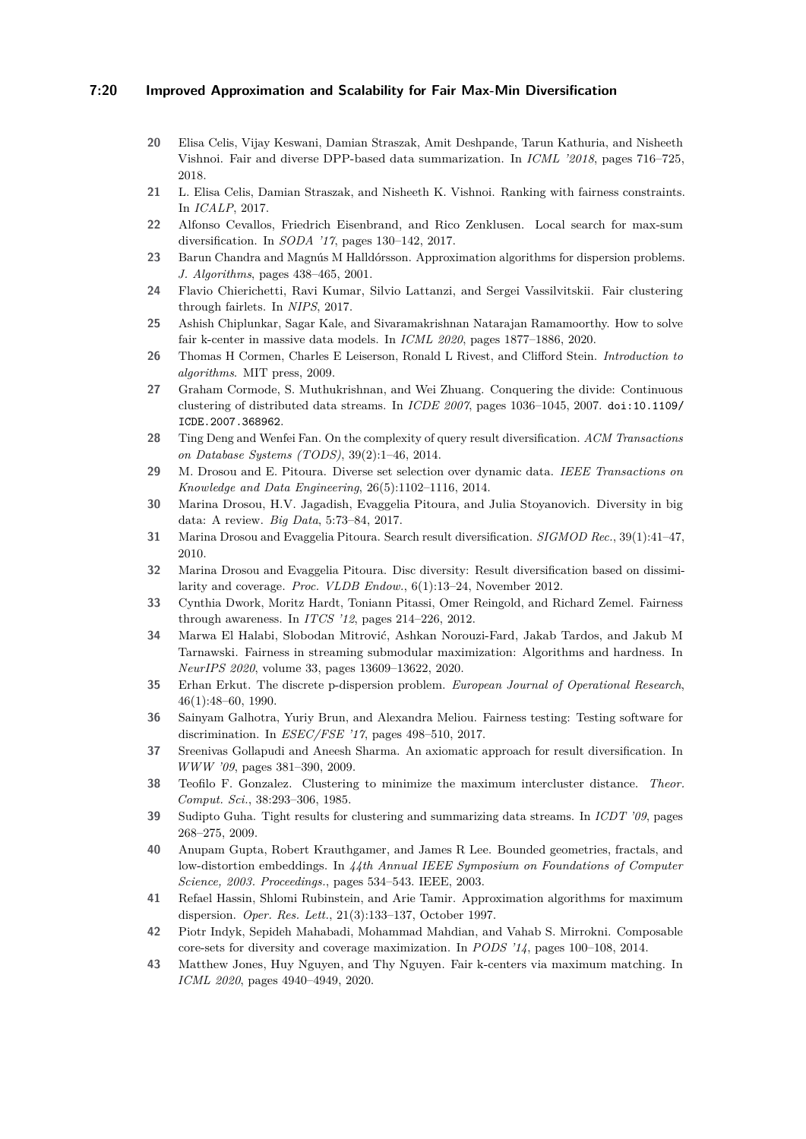## **7:20 Improved Approximation and Scalability for Fair Max-Min Diversification**

- <span id="page-19-11"></span>**20** Elisa Celis, Vijay Keswani, Damian Straszak, Amit Deshpande, Tarun Kathuria, and Nisheeth Vishnoi. Fair and diverse DPP-based data summarization. In *ICML '2018*, pages 716–725, 2018.
- <span id="page-19-12"></span>**21** L. Elisa Celis, Damian Straszak, and Nisheeth K. Vishnoi. Ranking with fairness constraints. In *ICALP*, 2017.
- <span id="page-19-10"></span>**22** Alfonso Cevallos, Friedrich Eisenbrand, and Rico Zenklusen. Local search for max-sum diversification. In *SODA '17*, pages 130–142, 2017.
- <span id="page-19-0"></span>**23** Barun Chandra and Magnús M Halldórsson. Approximation algorithms for dispersion problems. *J. Algorithms*, pages 438–465, 2001.
- <span id="page-19-13"></span>**24** Flavio Chierichetti, Ravi Kumar, Silvio Lattanzi, and Sergei Vassilvitskii. Fair clustering through fairlets. In *NIPS*, 2017.
- <span id="page-19-14"></span>**25** Ashish Chiplunkar, Sagar Kale, and Sivaramakrishnan Natarajan Ramamoorthy. How to solve fair k-center in massive data models. In *ICML 2020*, pages 1877–1886, 2020.
- <span id="page-19-21"></span>**26** Thomas H Cormen, Charles E Leiserson, Ronald L Rivest, and Clifford Stein. *Introduction to algorithms*. MIT press, 2009.
- <span id="page-19-23"></span>**27** Graham Cormode, S. Muthukrishnan, and Wei Zhuang. Conquering the divide: Continuous clustering of distributed data streams. In *ICDE 2007*, pages 1036–1045, 2007. [doi:10.1109/](https://doi.org/10.1109/ICDE.2007.368962) [ICDE.2007.368962](https://doi.org/10.1109/ICDE.2007.368962).
- <span id="page-19-1"></span>**28** Ting Deng and Wenfei Fan. On the complexity of query result diversification. *ACM Transactions on Database Systems (TODS)*, 39(2):1–46, 2014.
- <span id="page-19-3"></span>**29** M. Drosou and E. Pitoura. Diverse set selection over dynamic data. *IEEE Transactions on Knowledge and Data Engineering*, 26(5):1102–1116, 2014.
- <span id="page-19-7"></span>**30** Marina Drosou, H.V. Jagadish, Evaggelia Pitoura, and Julia Stoyanovich. Diversity in big data: A review. *Big Data*, 5:73–84, 2017.
- <span id="page-19-8"></span>**31** Marina Drosou and Evaggelia Pitoura. Search result diversification. *SIGMOD Rec.*, 39(1):41–47, 2010.
- <span id="page-19-2"></span>**32** Marina Drosou and Evaggelia Pitoura. Disc diversity: Result diversification based on dissimilarity and coverage. *Proc. VLDB Endow.*, 6(1):13–24, November 2012.
- <span id="page-19-17"></span>**33** Cynthia Dwork, Moritz Hardt, Toniann Pitassi, Omer Reingold, and Richard Zemel. Fairness through awareness. In *ITCS '12*, pages 214–226, 2012.
- <span id="page-19-15"></span>**34** Marwa El Halabi, Slobodan Mitrović, Ashkan Norouzi-Fard, Jakab Tardos, and Jakub M Tarnawski. Fairness in streaming submodular maximization: Algorithms and hardness. In *NeurIPS 2020*, volume 33, pages 13609–13622, 2020.
- <span id="page-19-4"></span>**35** Erhan Erkut. The discrete p-dispersion problem. *European Journal of Operational Research*, 46(1):48–60, 1990.
- <span id="page-19-18"></span>**36** Sainyam Galhotra, Yuriy Brun, and Alexandra Meliou. Fairness testing: Testing software for discrimination. In *ESEC/FSE '17*, pages 498–510, 2017.
- <span id="page-19-5"></span>**37** Sreenivas Gollapudi and Aneesh Sharma. An axiomatic approach for result diversification. In *WWW '09*, pages 381–390, 2009.
- <span id="page-19-22"></span>**38** Teofilo F. Gonzalez. Clustering to minimize the maximum intercluster distance. *Theor. Comput. Sci.*, 38:293–306, 1985.
- <span id="page-19-20"></span>**39** Sudipto Guha. Tight results for clustering and summarizing data streams. In *ICDT '09*, pages 268–275, 2009.
- <span id="page-19-19"></span>**40** Anupam Gupta, Robert Krauthgamer, and James R Lee. Bounded geometries, fractals, and low-distortion embeddings. In *44th Annual IEEE Symposium on Foundations of Computer Science, 2003. Proceedings.*, pages 534–543. IEEE, 2003.
- <span id="page-19-6"></span>**41** Refael Hassin, Shlomi Rubinstein, and Arie Tamir. Approximation algorithms for maximum dispersion. *Oper. Res. Lett.*, 21(3):133–137, October 1997.
- <span id="page-19-9"></span>**42** Piotr Indyk, Sepideh Mahabadi, Mohammad Mahdian, and Vahab S. Mirrokni. Composable core-sets for diversity and coverage maximization. In *PODS '14*, pages 100–108, 2014.
- <span id="page-19-16"></span>**43** Matthew Jones, Huy Nguyen, and Thy Nguyen. Fair k-centers via maximum matching. In *ICML 2020*, pages 4940–4949, 2020.